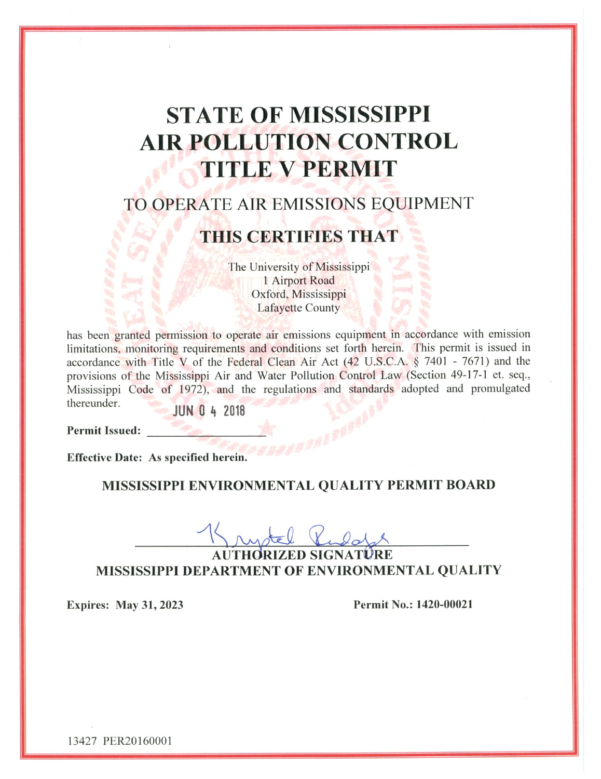# **STATE OF MISSISSIPPI AIR POLLUTION CONTROL TITLE V PERMIT**

# TO OPERATE AIR EMISSIONS EQUIPMENT

### **THIS CERTIFIES THAT**

The University of Mississippi 1 Airport Road Oxford, Mississippi Lafayette County

has been granted permission to operate air emissions equipment in accordance with emission limitations, monitoring requirements and conditions set forth herein. This permit is issued in accordance with Title V of the Federal Clean Air Act (42 U.S.C.A. § 7401 - 7671) and the provisions of the Mississippi Air and Water Pollution Control Law (Section 49-17-1 et. seq., Mississippi Code of 1972), and the regulations and standards adopted and promulgated thereunder.

JUN 0 4 2018

**Permit Issued:** 

Effective Date: As specified herein.

### MISSISSIPPI ENVIRONMENTAL QUALITY PERMIT BOARD

**CEAPORA** 

AUTHORIZED SIGNATÛRE **MISSISSIPPI DEPARTMENT OF ENVIRONMENTAL QUALITY** 

**Expires: May 31, 2023** 

Permit No.: 1420-00021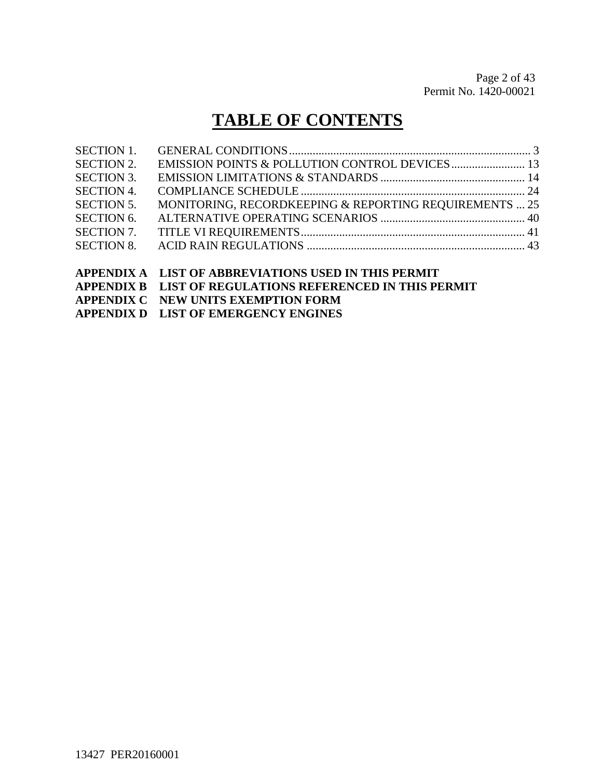# **TABLE OF CONTENTS**

|                   | A DDENINIV A I JIST OF A RRDEVILATIONS HSED IN THIS DEDMIT |  |
|-------------------|------------------------------------------------------------|--|
|                   |                                                            |  |
| <b>SECTION 8.</b> |                                                            |  |
| <b>SECTION 7.</b> |                                                            |  |
| <b>SECTION 6.</b> |                                                            |  |
| <b>SECTION 5.</b> | MONITORING, RECORDKEEPING & REPORTING REQUIREMENTS  25     |  |
| <b>SECTION 4.</b> |                                                            |  |
| <b>SECTION 3.</b> |                                                            |  |
| <b>SECTION 2.</b> |                                                            |  |
| <b>SECTION 1.</b> |                                                            |  |
|                   |                                                            |  |

#### **APPENDIX A LIST OF ABBREVIATIONS USED IN THIS PERMIT APPENDIX B LIST OF REGULATIONS REFERENCED IN THIS PERMIT**

**APPENDIX C NEW UNITS EXEMPTION FORM**

**APPENDIX D LIST OF EMERGENCY ENGINES**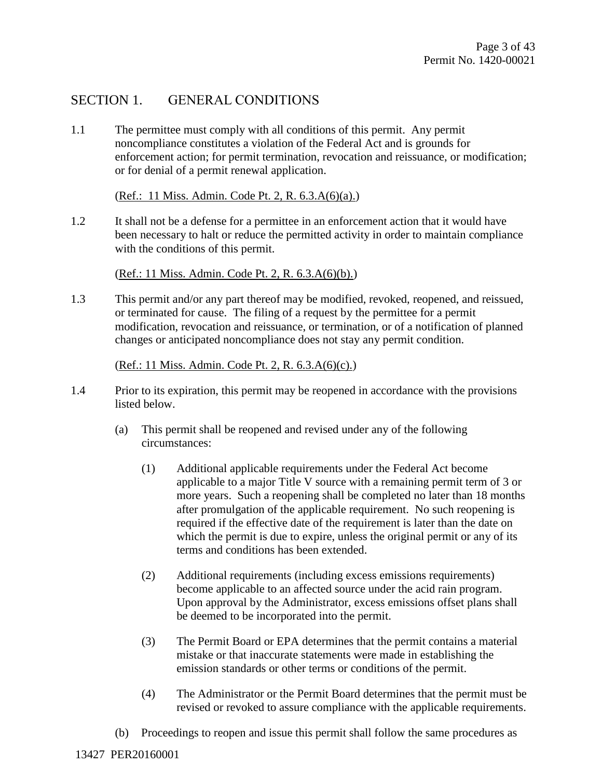### SECTION 1. GENERAL CONDITIONS

1.1 The permittee must comply with all conditions of this permit. Any permit noncompliance constitutes a violation of the Federal Act and is grounds for enforcement action; for permit termination, revocation and reissuance, or modification; or for denial of a permit renewal application.

(Ref.: 11 Miss. Admin. Code Pt. 2, R. 6.3.A(6)(a).)

1.2 It shall not be a defense for a permittee in an enforcement action that it would have been necessary to halt or reduce the permitted activity in order to maintain compliance with the conditions of this permit.

(Ref.: 11 Miss. Admin. Code Pt. 2, R. 6.3.A(6)(b).)

1.3 This permit and/or any part thereof may be modified, revoked, reopened, and reissued, or terminated for cause. The filing of a request by the permittee for a permit modification, revocation and reissuance, or termination, or of a notification of planned changes or anticipated noncompliance does not stay any permit condition.

#### (Ref.: 11 Miss. Admin. Code Pt. 2, R. 6.3.A(6)(c).)

- 1.4 Prior to its expiration, this permit may be reopened in accordance with the provisions listed below.
	- (a) This permit shall be reopened and revised under any of the following circumstances:
		- (1) Additional applicable requirements under the Federal Act become applicable to a major Title V source with a remaining permit term of 3 or more years. Such a reopening shall be completed no later than 18 months after promulgation of the applicable requirement. No such reopening is required if the effective date of the requirement is later than the date on which the permit is due to expire, unless the original permit or any of its terms and conditions has been extended.
		- (2) Additional requirements (including excess emissions requirements) become applicable to an affected source under the acid rain program. Upon approval by the Administrator, excess emissions offset plans shall be deemed to be incorporated into the permit.
		- (3) The Permit Board or EPA determines that the permit contains a material mistake or that inaccurate statements were made in establishing the emission standards or other terms or conditions of the permit.
		- (4) The Administrator or the Permit Board determines that the permit must be revised or revoked to assure compliance with the applicable requirements.
	- (b) Proceedings to reopen and issue this permit shall follow the same procedures as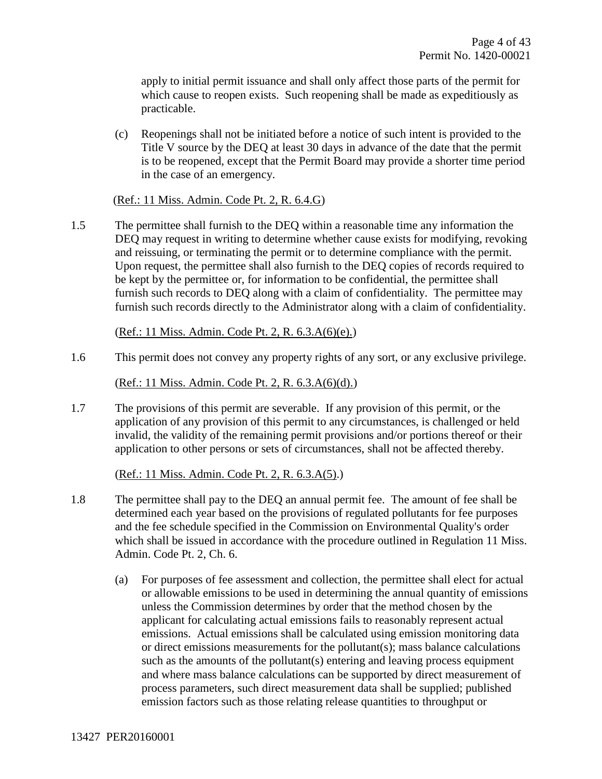apply to initial permit issuance and shall only affect those parts of the permit for which cause to reopen exists. Such reopening shall be made as expeditiously as practicable.

(c) Reopenings shall not be initiated before a notice of such intent is provided to the Title V source by the DEQ at least 30 days in advance of the date that the permit is to be reopened, except that the Permit Board may provide a shorter time period in the case of an emergency.

#### (Ref.: 11 Miss. Admin. Code Pt. 2, R. 6.4.G)

1.5 The permittee shall furnish to the DEQ within a reasonable time any information the DEQ may request in writing to determine whether cause exists for modifying, revoking and reissuing, or terminating the permit or to determine compliance with the permit. Upon request, the permittee shall also furnish to the DEQ copies of records required to be kept by the permittee or, for information to be confidential, the permittee shall furnish such records to DEQ along with a claim of confidentiality. The permittee may furnish such records directly to the Administrator along with a claim of confidentiality.

(Ref.: 11 Miss. Admin. Code Pt. 2, R. 6.3.A(6)(e).)

1.6 This permit does not convey any property rights of any sort, or any exclusive privilege.

(Ref.: 11 Miss. Admin. Code Pt. 2, R. 6.3.A(6)(d).)

1.7 The provisions of this permit are severable. If any provision of this permit, or the application of any provision of this permit to any circumstances, is challenged or held invalid, the validity of the remaining permit provisions and/or portions thereof or their application to other persons or sets of circumstances, shall not be affected thereby.

(Ref.: 11 Miss. Admin. Code Pt. 2, R. 6.3.A(5).)

- 1.8 The permittee shall pay to the DEQ an annual permit fee. The amount of fee shall be determined each year based on the provisions of regulated pollutants for fee purposes and the fee schedule specified in the Commission on Environmental Quality's order which shall be issued in accordance with the procedure outlined in Regulation 11 Miss. Admin. Code Pt. 2, Ch. 6.
	- (a) For purposes of fee assessment and collection, the permittee shall elect for actual or allowable emissions to be used in determining the annual quantity of emissions unless the Commission determines by order that the method chosen by the applicant for calculating actual emissions fails to reasonably represent actual emissions. Actual emissions shall be calculated using emission monitoring data or direct emissions measurements for the pollutant(s); mass balance calculations such as the amounts of the pollutant(s) entering and leaving process equipment and where mass balance calculations can be supported by direct measurement of process parameters, such direct measurement data shall be supplied; published emission factors such as those relating release quantities to throughput or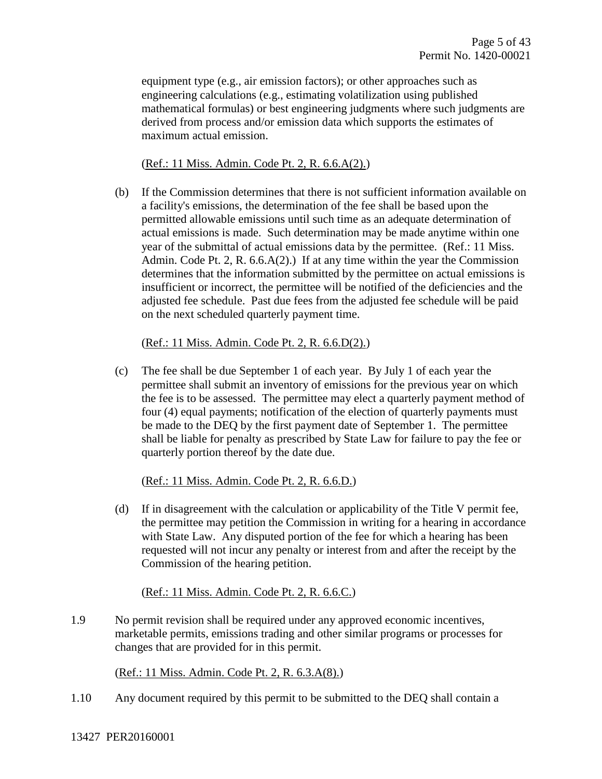equipment type (e.g., air emission factors); or other approaches such as engineering calculations (e.g., estimating volatilization using published mathematical formulas) or best engineering judgments where such judgments are derived from process and/or emission data which supports the estimates of maximum actual emission.

(Ref.: 11 Miss. Admin. Code Pt. 2, R. 6.6.A(2).)

(b) If the Commission determines that there is not sufficient information available on a facility's emissions, the determination of the fee shall be based upon the permitted allowable emissions until such time as an adequate determination of actual emissions is made. Such determination may be made anytime within one year of the submittal of actual emissions data by the permittee. (Ref.: 11 Miss. Admin. Code Pt. 2, R. 6.6.A(2).) If at any time within the year the Commission determines that the information submitted by the permittee on actual emissions is insufficient or incorrect, the permittee will be notified of the deficiencies and the adjusted fee schedule. Past due fees from the adjusted fee schedule will be paid on the next scheduled quarterly payment time.

(Ref.: 11 Miss. Admin. Code Pt. 2, R. 6.6.D(2).)

(c) The fee shall be due September 1 of each year. By July 1 of each year the permittee shall submit an inventory of emissions for the previous year on which the fee is to be assessed. The permittee may elect a quarterly payment method of four (4) equal payments; notification of the election of quarterly payments must be made to the DEQ by the first payment date of September 1. The permittee shall be liable for penalty as prescribed by State Law for failure to pay the fee or quarterly portion thereof by the date due.

(Ref.: 11 Miss. Admin. Code Pt. 2, R. 6.6.D.)

(d) If in disagreement with the calculation or applicability of the Title V permit fee, the permittee may petition the Commission in writing for a hearing in accordance with State Law. Any disputed portion of the fee for which a hearing has been requested will not incur any penalty or interest from and after the receipt by the Commission of the hearing petition.

(Ref.: 11 Miss. Admin. Code Pt. 2, R. 6.6.C.)

1.9 No permit revision shall be required under any approved economic incentives, marketable permits, emissions trading and other similar programs or processes for changes that are provided for in this permit.

(Ref.: 11 Miss. Admin. Code Pt. 2, R. 6.3.A(8).)

1.10 Any document required by this permit to be submitted to the DEQ shall contain a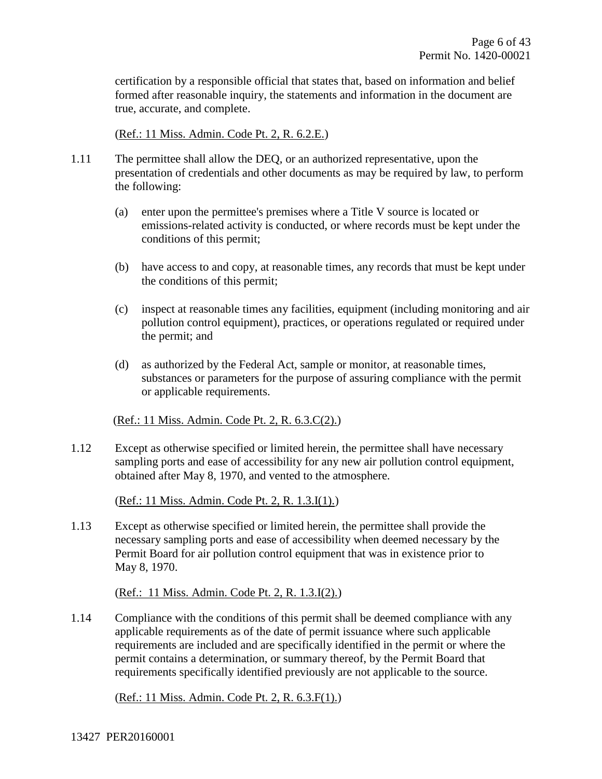certification by a responsible official that states that, based on information and belief formed after reasonable inquiry, the statements and information in the document are true, accurate, and complete.

(Ref.: 11 Miss. Admin. Code Pt. 2, R. 6.2.E.)

- 1.11 The permittee shall allow the DEQ, or an authorized representative, upon the presentation of credentials and other documents as may be required by law, to perform the following:
	- (a) enter upon the permittee's premises where a Title V source is located or emissions-related activity is conducted, or where records must be kept under the conditions of this permit;
	- (b) have access to and copy, at reasonable times, any records that must be kept under the conditions of this permit;
	- (c) inspect at reasonable times any facilities, equipment (including monitoring and air pollution control equipment), practices, or operations regulated or required under the permit; and
	- (d) as authorized by the Federal Act, sample or monitor, at reasonable times, substances or parameters for the purpose of assuring compliance with the permit or applicable requirements.

#### (Ref.: 11 Miss. Admin. Code Pt. 2, R. 6.3.C(2).)

1.12 Except as otherwise specified or limited herein, the permittee shall have necessary sampling ports and ease of accessibility for any new air pollution control equipment, obtained after May 8, 1970, and vented to the atmosphere.

(Ref.: 11 Miss. Admin. Code Pt. 2, R. 1.3.I(1).)

1.13 Except as otherwise specified or limited herein, the permittee shall provide the necessary sampling ports and ease of accessibility when deemed necessary by the Permit Board for air pollution control equipment that was in existence prior to May 8, 1970.

(Ref.: 11 Miss. Admin. Code Pt. 2, R. 1.3.I(2).)

1.14 Compliance with the conditions of this permit shall be deemed compliance with any applicable requirements as of the date of permit issuance where such applicable requirements are included and are specifically identified in the permit or where the permit contains a determination, or summary thereof, by the Permit Board that requirements specifically identified previously are not applicable to the source.

(Ref.: 11 Miss. Admin. Code Pt. 2, R. 6.3.F(1).)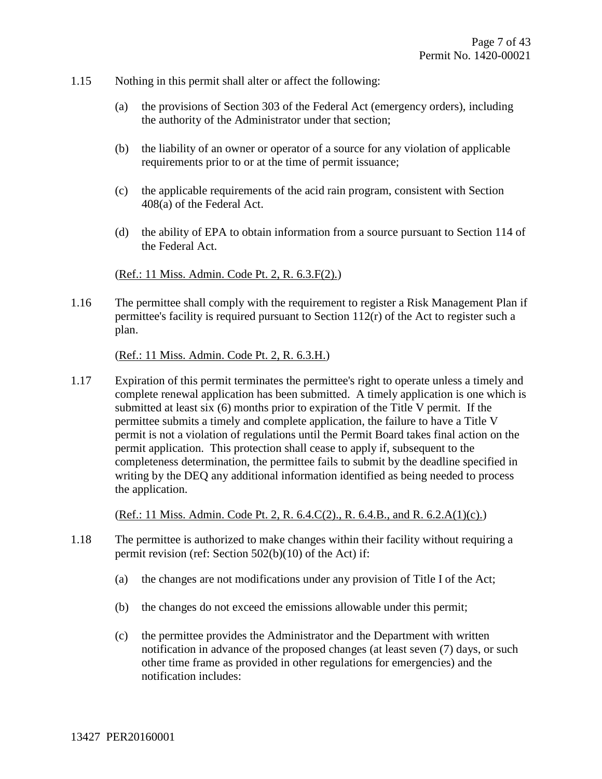- 1.15 Nothing in this permit shall alter or affect the following:
	- (a) the provisions of Section 303 of the Federal Act (emergency orders), including the authority of the Administrator under that section;
	- (b) the liability of an owner or operator of a source for any violation of applicable requirements prior to or at the time of permit issuance;
	- (c) the applicable requirements of the acid rain program, consistent with Section 408(a) of the Federal Act.
	- (d) the ability of EPA to obtain information from a source pursuant to Section 114 of the Federal Act.

#### (Ref.: 11 Miss. Admin. Code Pt. 2, R. 6.3.F(2).)

1.16 The permittee shall comply with the requirement to register a Risk Management Plan if permittee's facility is required pursuant to Section 112(r) of the Act to register such a plan.

(Ref.: 11 Miss. Admin. Code Pt. 2, R. 6.3.H.)

1.17 Expiration of this permit terminates the permittee's right to operate unless a timely and complete renewal application has been submitted. A timely application is one which is submitted at least six (6) months prior to expiration of the Title V permit. If the permittee submits a timely and complete application, the failure to have a Title V permit is not a violation of regulations until the Permit Board takes final action on the permit application. This protection shall cease to apply if, subsequent to the completeness determination, the permittee fails to submit by the deadline specified in writing by the DEQ any additional information identified as being needed to process the application.

(Ref.: 11 Miss. Admin. Code Pt. 2, R. 6.4.C(2)., R. 6.4.B., and R. 6.2.A(1)(c).)

- 1.18 The permittee is authorized to make changes within their facility without requiring a permit revision (ref: Section 502(b)(10) of the Act) if:
	- (a) the changes are not modifications under any provision of Title I of the Act;
	- (b) the changes do not exceed the emissions allowable under this permit;
	- (c) the permittee provides the Administrator and the Department with written notification in advance of the proposed changes (at least seven (7) days, or such other time frame as provided in other regulations for emergencies) and the notification includes: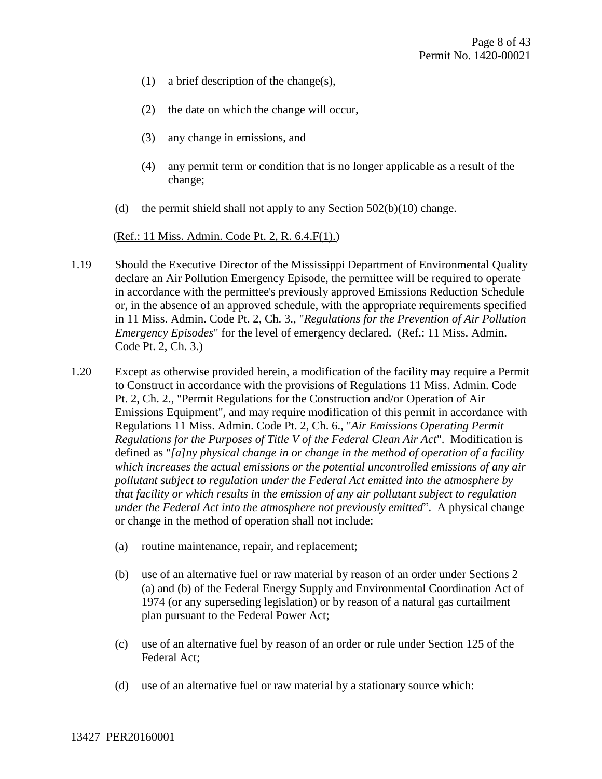- (1) a brief description of the change(s),
- (2) the date on which the change will occur,
- (3) any change in emissions, and
- (4) any permit term or condition that is no longer applicable as a result of the change;
- (d) the permit shield shall not apply to any Section  $502(b)(10)$  change.

(Ref.: 11 Miss. Admin. Code Pt. 2, R. 6.4.F(1).)

- 1.19 Should the Executive Director of the Mississippi Department of Environmental Quality declare an Air Pollution Emergency Episode, the permittee will be required to operate in accordance with the permittee's previously approved Emissions Reduction Schedule or, in the absence of an approved schedule, with the appropriate requirements specified in 11 Miss. Admin. Code Pt. 2, Ch. 3., "*Regulations for the Prevention of Air Pollution Emergency Episodes*" for the level of emergency declared. (Ref.: 11 Miss. Admin. Code Pt. 2, Ch. 3.)
- 1.20 Except as otherwise provided herein, a modification of the facility may require a Permit to Construct in accordance with the provisions of Regulations 11 Miss. Admin. Code Pt. 2, Ch. 2., "Permit Regulations for the Construction and/or Operation of Air Emissions Equipment", and may require modification of this permit in accordance with Regulations 11 Miss. Admin. Code Pt. 2, Ch. 6., "*Air Emissions Operating Permit Regulations for the Purposes of Title V of the Federal Clean Air Act*". Modification is defined as "*[a]ny physical change in or change in the method of operation of a facility which increases the actual emissions or the potential uncontrolled emissions of any air pollutant subject to regulation under the Federal Act emitted into the atmosphere by that facility or which results in the emission of any air pollutant subject to regulation under the Federal Act into the atmosphere not previously emitted*". A physical change or change in the method of operation shall not include:
	- (a) routine maintenance, repair, and replacement;
	- (b) use of an alternative fuel or raw material by reason of an order under Sections 2 (a) and (b) of the Federal Energy Supply and Environmental Coordination Act of 1974 (or any superseding legislation) or by reason of a natural gas curtailment plan pursuant to the Federal Power Act;
	- (c) use of an alternative fuel by reason of an order or rule under Section 125 of the Federal Act;
	- (d) use of an alternative fuel or raw material by a stationary source which: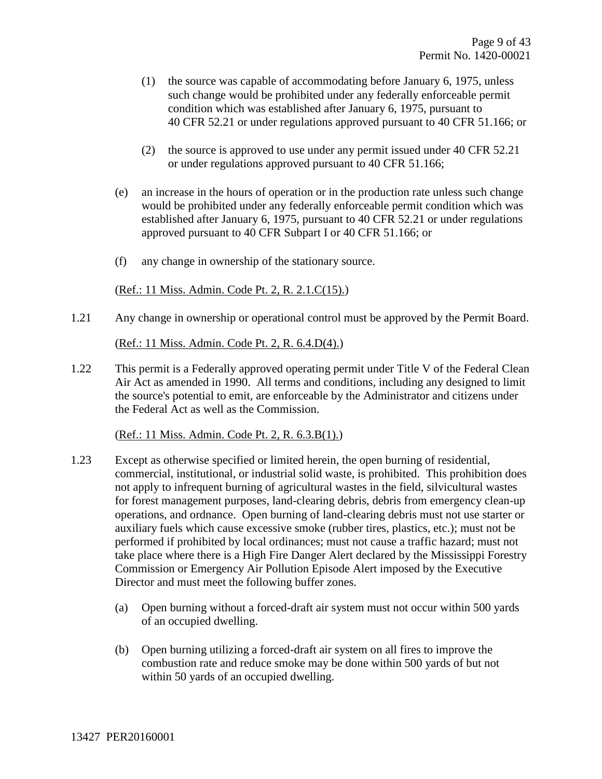- (1) the source was capable of accommodating before January 6, 1975, unless such change would be prohibited under any federally enforceable permit condition which was established after January 6, 1975, pursuant to 40 CFR 52.21 or under regulations approved pursuant to 40 CFR 51.166; or
- (2) the source is approved to use under any permit issued under 40 CFR 52.21 or under regulations approved pursuant to 40 CFR 51.166;
- (e) an increase in the hours of operation or in the production rate unless such change would be prohibited under any federally enforceable permit condition which was established after January 6, 1975, pursuant to 40 CFR 52.21 or under regulations approved pursuant to 40 CFR Subpart I or 40 CFR 51.166; or
- (f) any change in ownership of the stationary source.

(Ref.: 11 Miss. Admin. Code Pt. 2, R. 2.1.C(15).)

1.21 Any change in ownership or operational control must be approved by the Permit Board.

(Ref.: 11 Miss. Admin. Code Pt. 2, R. 6.4.D(4).)

1.22 This permit is a Federally approved operating permit under Title V of the Federal Clean Air Act as amended in 1990. All terms and conditions, including any designed to limit the source's potential to emit, are enforceable by the Administrator and citizens under the Federal Act as well as the Commission.

(Ref.: 11 Miss. Admin. Code Pt. 2, R. 6.3.B(1).)

- 1.23 Except as otherwise specified or limited herein, the open burning of residential, commercial, institutional, or industrial solid waste, is prohibited. This prohibition does not apply to infrequent burning of agricultural wastes in the field, silvicultural wastes for forest management purposes, land-clearing debris, debris from emergency clean-up operations, and ordnance. Open burning of land-clearing debris must not use starter or auxiliary fuels which cause excessive smoke (rubber tires, plastics, etc.); must not be performed if prohibited by local ordinances; must not cause a traffic hazard; must not take place where there is a High Fire Danger Alert declared by the Mississippi Forestry Commission or Emergency Air Pollution Episode Alert imposed by the Executive Director and must meet the following buffer zones.
	- (a) Open burning without a forced-draft air system must not occur within 500 yards of an occupied dwelling.
	- (b) Open burning utilizing a forced-draft air system on all fires to improve the combustion rate and reduce smoke may be done within 500 yards of but not within 50 yards of an occupied dwelling.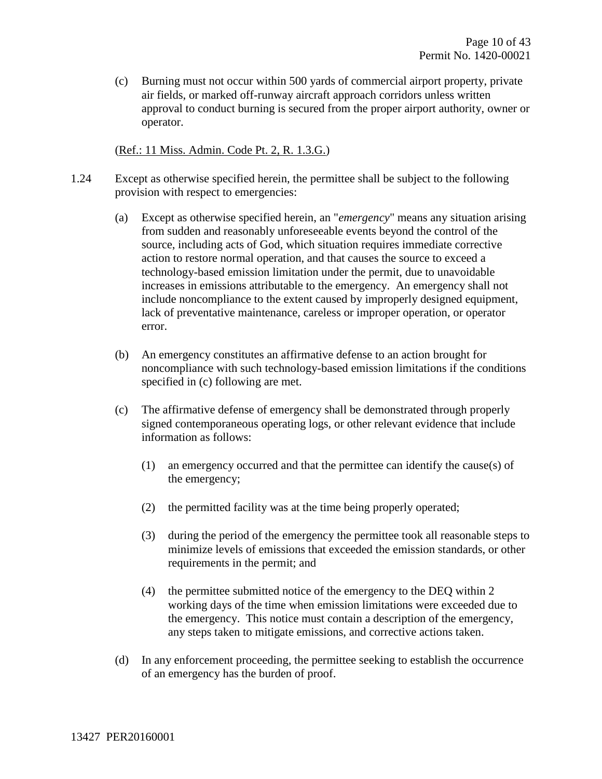(c) Burning must not occur within 500 yards of commercial airport property, private air fields, or marked off-runway aircraft approach corridors unless written approval to conduct burning is secured from the proper airport authority, owner or operator.

(Ref.: 11 Miss. Admin. Code Pt. 2, R. 1.3.G.)

- 1.24 Except as otherwise specified herein, the permittee shall be subject to the following provision with respect to emergencies:
	- (a) Except as otherwise specified herein, an "*emergency*" means any situation arising from sudden and reasonably unforeseeable events beyond the control of the source, including acts of God, which situation requires immediate corrective action to restore normal operation, and that causes the source to exceed a technology-based emission limitation under the permit, due to unavoidable increases in emissions attributable to the emergency. An emergency shall not include noncompliance to the extent caused by improperly designed equipment, lack of preventative maintenance, careless or improper operation, or operator error.
	- (b) An emergency constitutes an affirmative defense to an action brought for noncompliance with such technology-based emission limitations if the conditions specified in (c) following are met.
	- (c) The affirmative defense of emergency shall be demonstrated through properly signed contemporaneous operating logs, or other relevant evidence that include information as follows:
		- (1) an emergency occurred and that the permittee can identify the cause(s) of the emergency;
		- (2) the permitted facility was at the time being properly operated;
		- (3) during the period of the emergency the permittee took all reasonable steps to minimize levels of emissions that exceeded the emission standards, or other requirements in the permit; and
		- (4) the permittee submitted notice of the emergency to the DEQ within 2 working days of the time when emission limitations were exceeded due to the emergency. This notice must contain a description of the emergency, any steps taken to mitigate emissions, and corrective actions taken.
	- (d) In any enforcement proceeding, the permittee seeking to establish the occurrence of an emergency has the burden of proof.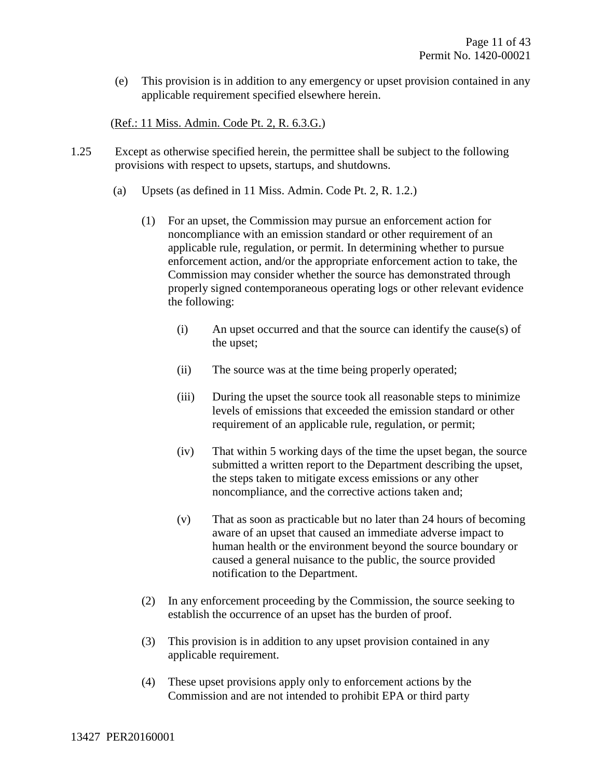(e) This provision is in addition to any emergency or upset provision contained in any applicable requirement specified elsewhere herein.

#### (Ref.: 11 Miss. Admin. Code Pt. 2, R. 6.3.G.)

- 1.25 Except as otherwise specified herein, the permittee shall be subject to the following provisions with respect to upsets, startups, and shutdowns.
	- (a) Upsets (as defined in 11 Miss. Admin. Code Pt. 2, R. 1.2.)
		- (1) For an upset, the Commission may pursue an enforcement action for noncompliance with an emission standard or other requirement of an applicable rule, regulation, or permit. In determining whether to pursue enforcement action, and/or the appropriate enforcement action to take, the Commission may consider whether the source has demonstrated through properly signed contemporaneous operating logs or other relevant evidence the following:
			- (i) An upset occurred and that the source can identify the cause(s) of the upset;
			- (ii) The source was at the time being properly operated;
			- (iii) During the upset the source took all reasonable steps to minimize levels of emissions that exceeded the emission standard or other requirement of an applicable rule, regulation, or permit;
			- (iv) That within 5 working days of the time the upset began, the source submitted a written report to the Department describing the upset, the steps taken to mitigate excess emissions or any other noncompliance, and the corrective actions taken and;
			- (v) That as soon as practicable but no later than 24 hours of becoming aware of an upset that caused an immediate adverse impact to human health or the environment beyond the source boundary or caused a general nuisance to the public, the source provided notification to the Department.
		- (2) In any enforcement proceeding by the Commission, the source seeking to establish the occurrence of an upset has the burden of proof.
		- (3) This provision is in addition to any upset provision contained in any applicable requirement.
		- (4) These upset provisions apply only to enforcement actions by the Commission and are not intended to prohibit EPA or third party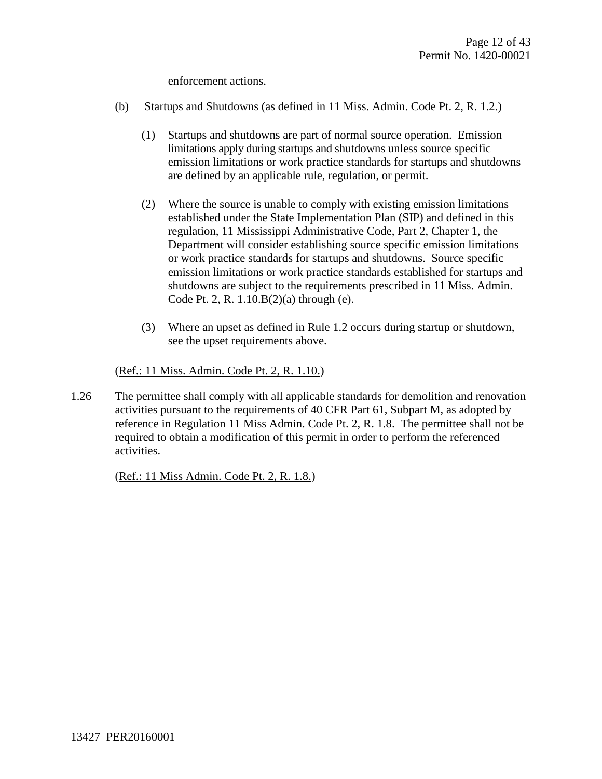enforcement actions.

- (b) Startups and Shutdowns (as defined in 11 Miss. Admin. Code Pt. 2, R. 1.2.)
	- (1) Startups and shutdowns are part of normal source operation. Emission limitations apply during startups and shutdowns unless source specific emission limitations or work practice standards for startups and shutdowns are defined by an applicable rule, regulation, or permit.
	- (2) Where the source is unable to comply with existing emission limitations established under the State Implementation Plan (SIP) and defined in this regulation, 11 Mississippi Administrative Code, Part 2, Chapter 1, the Department will consider establishing source specific emission limitations or work practice standards for startups and shutdowns. Source specific emission limitations or work practice standards established for startups and shutdowns are subject to the requirements prescribed in 11 Miss. Admin. Code Pt. 2, R. 1.10.B(2)(a) through (e).
	- (3) Where an upset as defined in Rule 1.2 occurs during startup or shutdown, see the upset requirements above.

#### (Ref.: 11 Miss. Admin. Code Pt. 2, R. 1.10.)

1.26 The permittee shall comply with all applicable standards for demolition and renovation activities pursuant to the requirements of 40 CFR Part 61, Subpart M, as adopted by reference in Regulation 11 Miss Admin. Code Pt. 2, R. 1.8. The permittee shall not be required to obtain a modification of this permit in order to perform the referenced activities.

(Ref.: 11 Miss Admin. Code Pt. 2, R. 1.8.)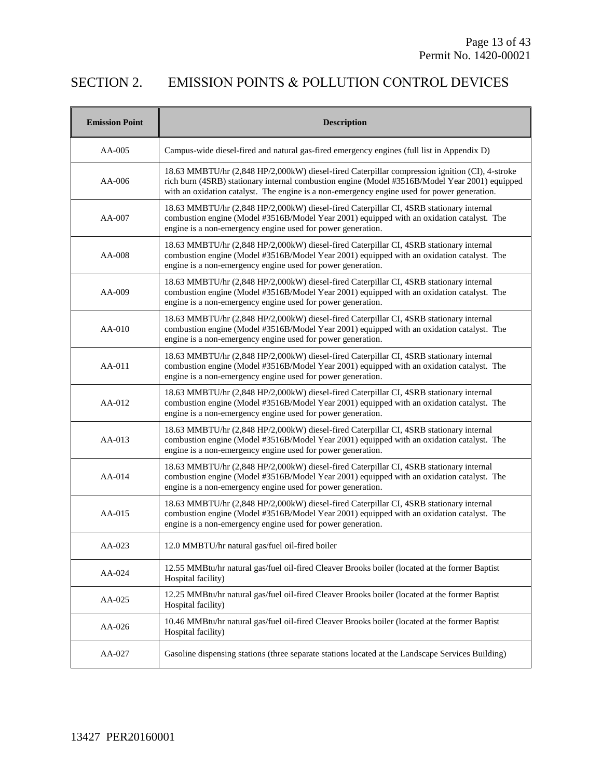### SECTION 2. EMISSION POINTS & POLLUTION CONTROL DEVICES

| <b>Emission Point</b> | <b>Description</b>                                                                                                                                                                                                                                                                              |
|-----------------------|-------------------------------------------------------------------------------------------------------------------------------------------------------------------------------------------------------------------------------------------------------------------------------------------------|
| AA-005                | Campus-wide diesel-fired and natural gas-fired emergency engines (full list in Appendix D)                                                                                                                                                                                                      |
| AA-006                | 18.63 MMBTU/hr (2,848 HP/2,000kW) diesel-fired Caterpillar compression ignition (CI), 4-stroke<br>rich burn (4SRB) stationary internal combustion engine (Model #3516B/Model Year 2001) equipped<br>with an oxidation catalyst. The engine is a non-emergency engine used for power generation. |
| AA-007                | 18.63 MMBTU/hr (2,848 HP/2,000kW) diesel-fired Caterpillar CI, 4SRB stationary internal<br>combustion engine (Model #3516B/Model Year 2001) equipped with an oxidation catalyst. The<br>engine is a non-emergency engine used for power generation.                                             |
| AA-008                | 18.63 MMBTU/hr (2,848 HP/2,000kW) diesel-fired Caterpillar CI, 4SRB stationary internal<br>combustion engine (Model #3516B/Model Year 2001) equipped with an oxidation catalyst. The<br>engine is a non-emergency engine used for power generation.                                             |
| AA-009                | 18.63 MMBTU/hr (2,848 HP/2,000kW) diesel-fired Caterpillar CI, 4SRB stationary internal<br>combustion engine (Model #3516B/Model Year 2001) equipped with an oxidation catalyst. The<br>engine is a non-emergency engine used for power generation.                                             |
| $AA-010$              | 18.63 MMBTU/hr (2,848 HP/2,000kW) diesel-fired Caterpillar CI, 4SRB stationary internal<br>combustion engine (Model #3516B/Model Year 2001) equipped with an oxidation catalyst. The<br>engine is a non-emergency engine used for power generation.                                             |
| AA-011                | 18.63 MMBTU/hr (2,848 HP/2,000kW) diesel-fired Caterpillar CI, 4SRB stationary internal<br>combustion engine (Model #3516B/Model Year 2001) equipped with an oxidation catalyst. The<br>engine is a non-emergency engine used for power generation.                                             |
| AA-012                | 18.63 MMBTU/hr (2,848 HP/2,000kW) diesel-fired Caterpillar CI, 4SRB stationary internal<br>combustion engine (Model #3516B/Model Year 2001) equipped with an oxidation catalyst. The<br>engine is a non-emergency engine used for power generation.                                             |
| AA-013                | 18.63 MMBTU/hr (2,848 HP/2,000kW) diesel-fired Caterpillar CI, 4SRB stationary internal<br>combustion engine (Model #3516B/Model Year 2001) equipped with an oxidation catalyst. The<br>engine is a non-emergency engine used for power generation.                                             |
| AA-014                | 18.63 MMBTU/hr (2,848 HP/2,000kW) diesel-fired Caterpillar CI, 4SRB stationary internal<br>combustion engine (Model #3516B/Model Year 2001) equipped with an oxidation catalyst. The<br>engine is a non-emergency engine used for power generation.                                             |
| AA-015                | 18.63 MMBTU/hr (2,848 HP/2,000kW) diesel-fired Caterpillar CI, 4SRB stationary internal<br>combustion engine (Model #3516B/Model Year 2001) equipped with an oxidation catalyst. The<br>engine is a non-emergency engine used for power generation.                                             |
| AA-023                | 12.0 MMBTU/hr natural gas/fuel oil-fired boiler                                                                                                                                                                                                                                                 |
| AA-024                | 12.55 MMBtu/hr natural gas/fuel oil-fired Cleaver Brooks boiler (located at the former Baptist<br>Hospital facility)                                                                                                                                                                            |
| AA-025                | 12.25 MMBtu/hr natural gas/fuel oil-fired Cleaver Brooks boiler (located at the former Baptist<br>Hospital facility)                                                                                                                                                                            |
| AA-026                | 10.46 MMBtu/hr natural gas/fuel oil-fired Cleaver Brooks boiler (located at the former Baptist<br>Hospital facility)                                                                                                                                                                            |
| AA-027                | Gasoline dispensing stations (three separate stations located at the Landscape Services Building)                                                                                                                                                                                               |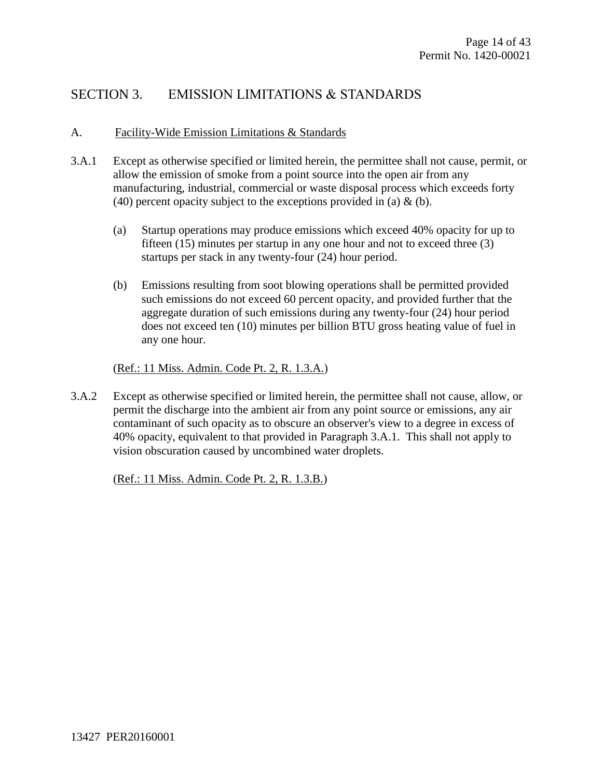### SECTION 3. EMISSION LIMITATIONS & STANDARDS

#### A. Facility-Wide Emission Limitations & Standards

- 3.A.1 Except as otherwise specified or limited herein, the permittee shall not cause, permit, or allow the emission of smoke from a point source into the open air from any manufacturing, industrial, commercial or waste disposal process which exceeds forty (40) percent opacity subject to the exceptions provided in (a)  $\&$  (b).
	- (a) Startup operations may produce emissions which exceed 40% opacity for up to fifteen (15) minutes per startup in any one hour and not to exceed three (3) startups per stack in any twenty-four (24) hour period.
	- (b) Emissions resulting from soot blowing operations shall be permitted provided such emissions do not exceed 60 percent opacity, and provided further that the aggregate duration of such emissions during any twenty-four (24) hour period does not exceed ten (10) minutes per billion BTU gross heating value of fuel in any one hour.

(Ref.: 11 Miss. Admin. Code Pt. 2, R. 1.3.A.)

3.A.2 Except as otherwise specified or limited herein, the permittee shall not cause, allow, or permit the discharge into the ambient air from any point source or emissions, any air contaminant of such opacity as to obscure an observer's view to a degree in excess of 40% opacity, equivalent to that provided in Paragraph 3.A.1. This shall not apply to vision obscuration caused by uncombined water droplets.

(Ref.: 11 Miss. Admin. Code Pt. 2, R. 1.3.B.)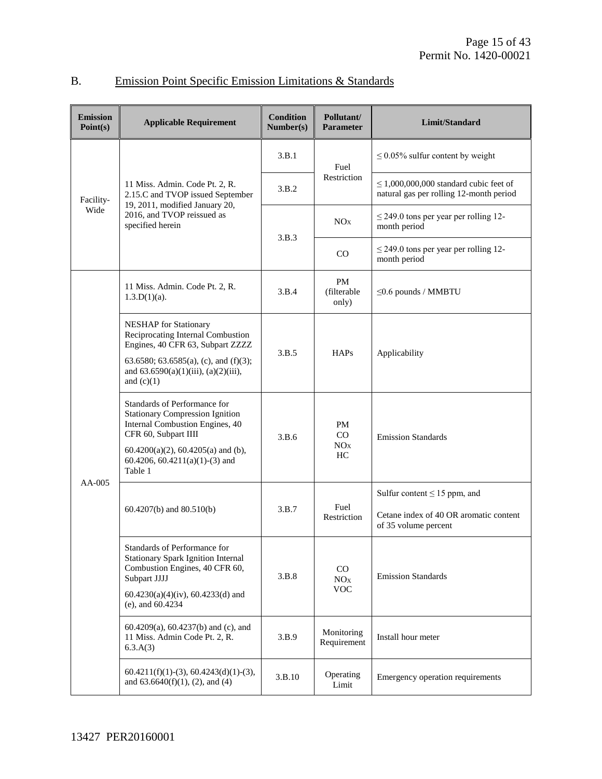| <b>Emission</b><br>Point(s) | <b>Applicable Requirement</b>                                                                                                                                                                                             |        | Pollutant/<br><b>Parameter</b>           | Limit/Standard                                                                         |
|-----------------------------|---------------------------------------------------------------------------------------------------------------------------------------------------------------------------------------------------------------------------|--------|------------------------------------------|----------------------------------------------------------------------------------------|
|                             |                                                                                                                                                                                                                           | 3.B.1  | Fuel                                     | $\leq$ 0.05% sulfur content by weight                                                  |
| Facility-                   | 11 Miss. Admin. Code Pt. 2, R.<br>2.15.C and TVOP issued September<br>19, 2011, modified January 20,                                                                                                                      | 3.B.2  | Restriction                              | $\leq$ 1,000,000,000 standard cubic feet of<br>natural gas per rolling 12-month period |
| Wide                        | 2016, and TVOP reissued as<br>specified herein                                                                                                                                                                            |        | NO <sub>X</sub>                          | $\leq$ 249.0 tons per year per rolling 12-<br>month period                             |
|                             |                                                                                                                                                                                                                           | 3.B.3  | CO                                       | $\leq$ 249.0 tons per year per rolling 12-<br>month period                             |
|                             | 11 Miss. Admin. Code Pt. 2, R.<br>$1.3.D(1)(a)$ .                                                                                                                                                                         | 3.B.4  | <b>PM</b><br>(filterable<br>only)        | $\leq$ 0.6 pounds / MMBTU                                                              |
|                             | <b>NESHAP</b> for Stationary<br>Reciprocating Internal Combustion<br>Engines, 40 CFR 63, Subpart ZZZZ<br>63.6580; 63.6585(a), (c), and (f)(3);<br>and $63.6590(a)(1)(iii)$ , $(a)(2)(iii)$ ,<br>and $(c)(1)$              | 3.B.5  | <b>HAPs</b>                              | Applicability                                                                          |
|                             | Standards of Performance for<br><b>Stationary Compression Ignition</b><br>Internal Combustion Engines, 40<br>CFR 60, Subpart IIII<br>$60.4200(a)(2)$ , $60.4205(a)$ and (b),<br>60.4206, 60.4211(a)(1)-(3) and<br>Table 1 | 3.B.6  | <b>PM</b><br>CO<br>NO <sub>X</sub><br>HC | <b>Emission Standards</b>                                                              |
| $AA-005$                    |                                                                                                                                                                                                                           |        |                                          | Sulfur content $\leq 15$ ppm, and                                                      |
|                             | $60.4207(b)$ and $80.510(b)$                                                                                                                                                                                              | 3.B.7  | Fuel<br>Restriction                      | Cetane index of 40 OR aromatic content<br>of 35 volume percent                         |
|                             | Standards of Performance for<br><b>Stationary Spark Ignition Internal</b><br>Combustion Engines, 40 CFR 60,<br>Subpart JJJJ<br>$60.4230(a)(4)(iv)$ , 60.4233(d) and<br>$(e)$ , and $60.4234$                              | 3.B.8  | $\rm CO$<br>NOx<br>$\rm VOC$             | <b>Emission Standards</b>                                                              |
|                             | $60.4209(a)$ , $60.4237(b)$ and (c), and<br>11 Miss. Admin Code Pt. 2, R.<br>6.3.A(3)                                                                                                                                     | 3.B.9  | Monitoring<br>Requirement                | Install hour meter                                                                     |
|                             | $60.4211(f)(1)-(3), 60.4243(d)(1)-(3),$<br>and $63.6640(f)(1)$ , $(2)$ , and $(4)$                                                                                                                                        | 3.B.10 | Operating<br>Limit                       | Emergency operation requirements                                                       |

### B. Emission Point Specific Emission Limitations & Standards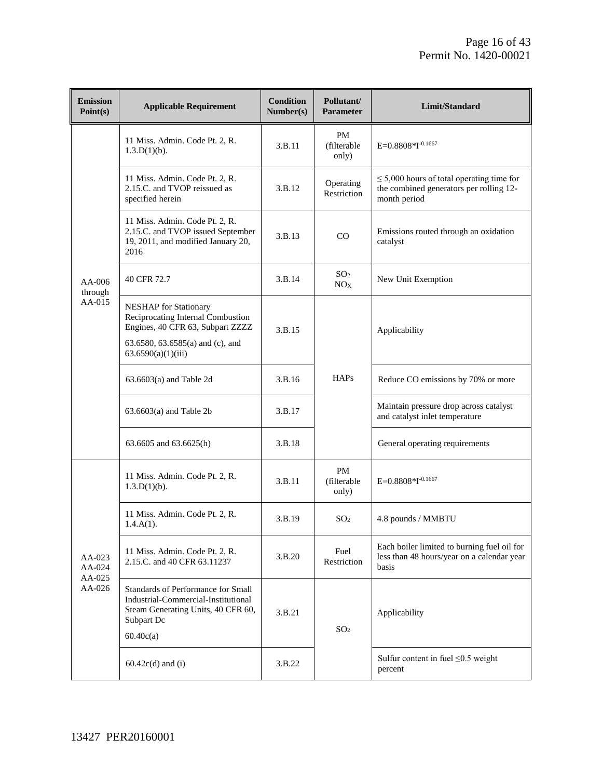| <b>Emission</b><br>Point(s) | <b>Applicable Requirement</b>                                                                                                                                   | <b>Condition</b><br>Number(s) | Pollutant/<br><b>Parameter</b>     | Limit/Standard                                                                                            |
|-----------------------------|-----------------------------------------------------------------------------------------------------------------------------------------------------------------|-------------------------------|------------------------------------|-----------------------------------------------------------------------------------------------------------|
|                             | 11 Miss. Admin. Code Pt. 2, R.<br>1.3.D(1)(b).                                                                                                                  | 3.B.11                        | <b>PM</b><br>(filterable<br>only)  | E=0.8808*I-0.1667                                                                                         |
|                             | 11 Miss. Admin. Code Pt. 2, R.<br>2.15.C. and TVOP reissued as<br>specified herein                                                                              | 3.B.12                        | Operating<br>Restriction           | $\leq$ 5,000 hours of total operating time for<br>the combined generators per rolling 12-<br>month period |
|                             | 11 Miss. Admin. Code Pt. 2, R.<br>2.15.C. and TVOP issued September<br>19, 2011, and modified January 20,<br>2016                                               | 3.B.13                        | CO                                 | Emissions routed through an oxidation<br>catalyst                                                         |
| $AA-006$<br>through         | 40 CFR 72.7                                                                                                                                                     | 3.B.14                        | SO <sub>2</sub><br>NO <sub>X</sub> | New Unit Exemption                                                                                        |
| AA-015                      | <b>NESHAP</b> for Stationary<br>Reciprocating Internal Combustion<br>Engines, 40 CFR 63, Subpart ZZZZ<br>63.6580, 63.6585(a) and (c), and<br>63.6590(a)(1)(iii) | 3.B.15<br>Applicability       |                                    |                                                                                                           |
|                             | $63.6603(a)$ and Table 2d                                                                                                                                       | 3.B.16                        | <b>HAPs</b>                        | Reduce CO emissions by 70% or more                                                                        |
|                             | $63.6603(a)$ and Table 2b                                                                                                                                       | 3.B.17                        |                                    | Maintain pressure drop across catalyst<br>and catalyst inlet temperature                                  |
|                             | 63.6605 and 63.6625(h)                                                                                                                                          | 3.B.18                        |                                    | General operating requirements                                                                            |
|                             | 11 Miss. Admin. Code Pt. 2, R.<br>$1.3.D(1)(b)$ .                                                                                                               | 3.B.11                        | <b>PM</b><br>(filterable<br>only)  | $E=0.8808*I^{-0.1667}$                                                                                    |
|                             | 11 Miss. Admin. Code Pt. 2, R.<br>$1.4.A(1)$ .                                                                                                                  | 3.B.19                        | SO <sub>2</sub>                    | 4.8 pounds / MMBTU                                                                                        |
| AA-023<br>AA-024            | 11 Miss. Admin. Code Pt. 2, R.<br>2.15.C. and 40 CFR 63.11237                                                                                                   | 3.B.20                        | Fuel<br>Restriction                | Each boiler limited to burning fuel oil for<br>less than 48 hours/year on a calendar year<br>basis        |
| AA-025<br>AA-026            | Standards of Performance for Small<br>Industrial-Commercial-Institutional<br>Steam Generating Units, 40 CFR 60,<br>Subpart Dc<br>60.40c(a)                      | 3.B.21                        | SO <sub>2</sub>                    | Applicability                                                                                             |
|                             | $60.42c(d)$ and (i)                                                                                                                                             | 3.B.22                        |                                    | Sulfur content in fuel $\leq 0.5$ weight<br>percent                                                       |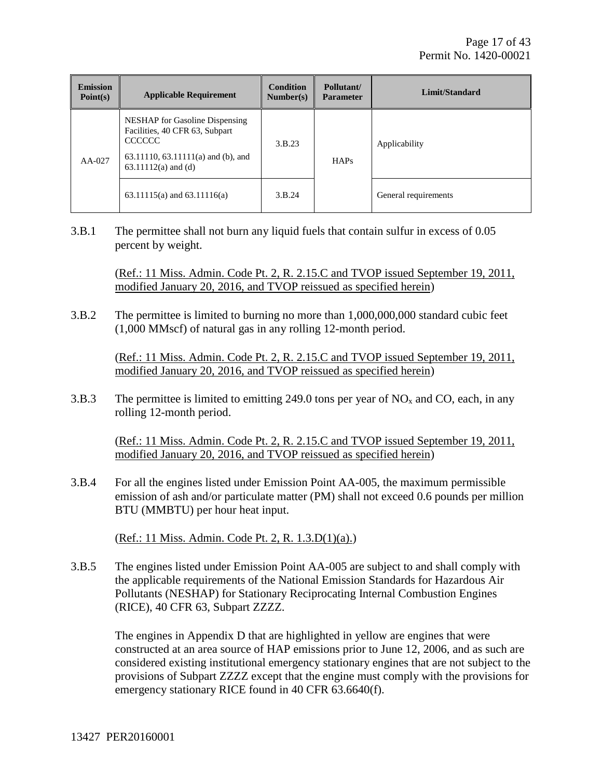| <b>Emission</b><br>Point(s) | <b>Applicable Requirement</b>                                                                                                                    | <b>Condition</b><br>Number(s) | Pollutant/<br><b>Parameter</b> | Limit/Standard       |
|-----------------------------|--------------------------------------------------------------------------------------------------------------------------------------------------|-------------------------------|--------------------------------|----------------------|
| $AA-027$                    | NESHAP for Gasoline Dispensing<br>Facilities, 40 CFR 63, Subpart<br><b>CCCCCC</b><br>63.11110, 63.11111(a) and (b), and<br>$63.11112(a)$ and (d) | 3.B.23                        | <b>HAPs</b>                    | Applicability        |
|                             | 63.11115(a) and 63.11116(a)                                                                                                                      | 3.B.24                        |                                | General requirements |

3.B.1 The permittee shall not burn any liquid fuels that contain sulfur in excess of 0.05 percent by weight.

> (Ref.: 11 Miss. Admin. Code Pt. 2, R. 2.15.C and TVOP issued September 19, 2011, modified January 20, 2016, and TVOP reissued as specified herein)

3.B.2 The permittee is limited to burning no more than 1,000,000,000 standard cubic feet (1,000 MMscf) of natural gas in any rolling 12-month period.

> (Ref.: 11 Miss. Admin. Code Pt. 2, R. 2.15.C and TVOP issued September 19, 2011, modified January 20, 2016, and TVOP reissued as specified herein)

3.B.3 The permittee is limited to emitting 249.0 tons per year of  $NO<sub>x</sub>$  and CO, each, in any rolling 12-month period.

(Ref.: 11 Miss. Admin. Code Pt. 2, R. 2.15.C and TVOP issued September 19, 2011, modified January 20, 2016, and TVOP reissued as specified herein)

3.B.4 For all the engines listed under Emission Point AA-005, the maximum permissible emission of ash and/or particulate matter (PM) shall not exceed 0.6 pounds per million BTU (MMBTU) per hour heat input.

(Ref.: 11 Miss. Admin. Code Pt. 2, R. 1.3.D(1)(a).)

3.B.5 The engines listed under Emission Point AA-005 are subject to and shall comply with the applicable requirements of the National Emission Standards for Hazardous Air Pollutants (NESHAP) for Stationary Reciprocating Internal Combustion Engines (RICE), 40 CFR 63, Subpart ZZZZ.

The engines in Appendix D that are highlighted in yellow are engines that were constructed at an area source of HAP emissions prior to June 12, 2006, and as such are considered existing institutional emergency stationary engines that are not subject to the provisions of Subpart ZZZZ except that the engine must comply with the provisions for emergency stationary RICE found in 40 CFR 63.6640(f).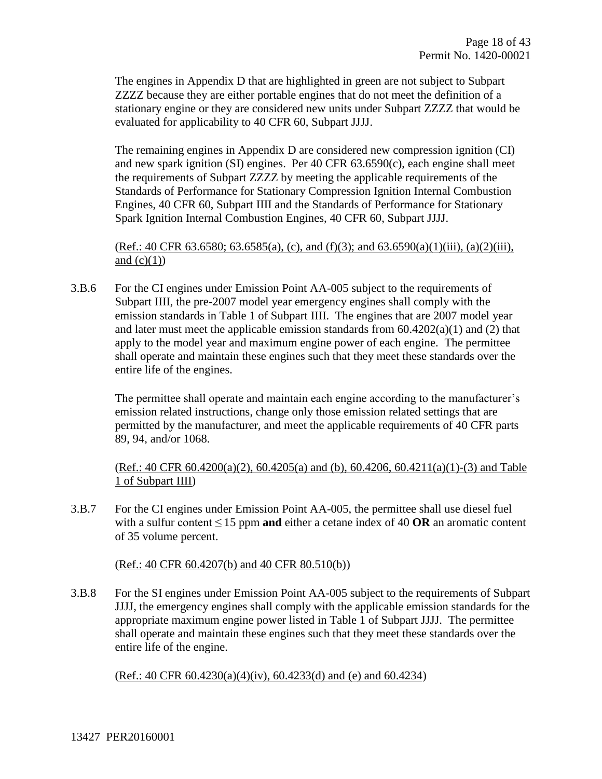The engines in Appendix D that are highlighted in green are not subject to Subpart ZZZZ because they are either portable engines that do not meet the definition of a stationary engine or they are considered new units under Subpart ZZZZ that would be evaluated for applicability to 40 CFR 60, Subpart JJJJ.

The remaining engines in Appendix D are considered new compression ignition (CI) and new spark ignition (SI) engines. Per 40 CFR 63.6590(c), each engine shall meet the requirements of Subpart ZZZZ by meeting the applicable requirements of the Standards of Performance for Stationary Compression Ignition Internal Combustion Engines, 40 CFR 60, Subpart IIII and the Standards of Performance for Stationary Spark Ignition Internal Combustion Engines, 40 CFR 60, Subpart JJJJ.

(Ref.: 40 CFR 63.6580; 63.6585(a), (c), and (f)(3); and 63.6590(a)(1)(iii), (a)(2)(iii), and  $(c)(1)$ )

3.B.6 For the CI engines under Emission Point AA-005 subject to the requirements of Subpart IIII, the pre-2007 model year emergency engines shall comply with the emission standards in Table 1 of Subpart IIII. The engines that are 2007 model year and later must meet the applicable emission standards from 60.4202(a)(1) and (2) that apply to the model year and maximum engine power of each engine. The permittee shall operate and maintain these engines such that they meet these standards over the entire life of the engines.

The permittee shall operate and maintain each engine according to the manufacturer's emission related instructions, change only those emission related settings that are permitted by the manufacturer, and meet the applicable requirements of 40 CFR parts 89, 94, and/or 1068.

 $(Ref.: 40 CFR 60.4200(a)(2), 60.4205(a)$  and (b),  $60.4206, 60.4211(a)(1)-(3)$  and Table 1 of Subpart IIII)

3.B.7 For the CI engines under Emission Point AA-005, the permittee shall use diesel fuel with a sulfur content  $\leq 15$  ppm **and** either a cetane index of 40 **OR** an aromatic content of 35 volume percent.

#### (Ref.: 40 CFR 60.4207(b) and 40 CFR 80.510(b))

3.B.8 For the SI engines under Emission Point AA-005 subject to the requirements of Subpart JJJJ, the emergency engines shall comply with the applicable emission standards for the appropriate maximum engine power listed in Table 1 of Subpart JJJJ. The permittee shall operate and maintain these engines such that they meet these standards over the entire life of the engine.

 $(Ref.: 40 CFR 60.4230(a)(4)(iv), 60.4233(d) and (e) and 60.4234)$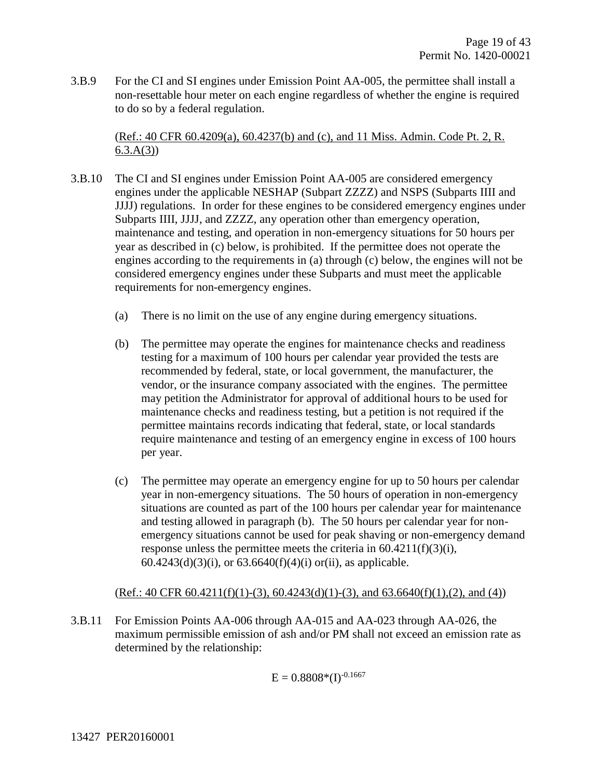3.B.9 For the CI and SI engines under Emission Point AA-005, the permittee shall install a non-resettable hour meter on each engine regardless of whether the engine is required to do so by a federal regulation.

(Ref.: 40 CFR 60.4209(a), 60.4237(b) and (c), and 11 Miss. Admin. Code Pt. 2, R.  $6.3.A(3)$ 

- 3.B.10 The CI and SI engines under Emission Point AA-005 are considered emergency engines under the applicable NESHAP (Subpart ZZZZ) and NSPS (Subparts IIII and JJJJ) regulations. In order for these engines to be considered emergency engines under Subparts IIII, JJJJ, and ZZZZ, any operation other than emergency operation, maintenance and testing, and operation in non-emergency situations for 50 hours per year as described in (c) below, is prohibited. If the permittee does not operate the engines according to the requirements in (a) through (c) below, the engines will not be considered emergency engines under these Subparts and must meet the applicable requirements for non-emergency engines.
	- (a) There is no limit on the use of any engine during emergency situations.
	- (b) The permittee may operate the engines for maintenance checks and readiness testing for a maximum of 100 hours per calendar year provided the tests are recommended by federal, state, or local government, the manufacturer, the vendor, or the insurance company associated with the engines. The permittee may petition the Administrator for approval of additional hours to be used for maintenance checks and readiness testing, but a petition is not required if the permittee maintains records indicating that federal, state, or local standards require maintenance and testing of an emergency engine in excess of 100 hours per year.
	- (c) The permittee may operate an emergency engine for up to 50 hours per calendar year in non-emergency situations. The 50 hours of operation in non-emergency situations are counted as part of the 100 hours per calendar year for maintenance and testing allowed in paragraph (b). The 50 hours per calendar year for nonemergency situations cannot be used for peak shaving or non-emergency demand response unless the permittee meets the criteria in 60.4211(f)(3)(i), 60.4243(d)(3)(i), or  $63.6640(f)(4)(i)$  or(ii), as applicable.

 $(Ref.: 40 CFR 60.4211(f)(1)-(3), 60.4243(d)(1)-(3), and 63.6640(f)(1),(2), and (4))$ 

3.B.11 For Emission Points AA-006 through AA-015 and AA-023 through AA-026, the maximum permissible emission of ash and/or PM shall not exceed an emission rate as determined by the relationship:

$$
E = 0.8808*(I)^{-0.1667}
$$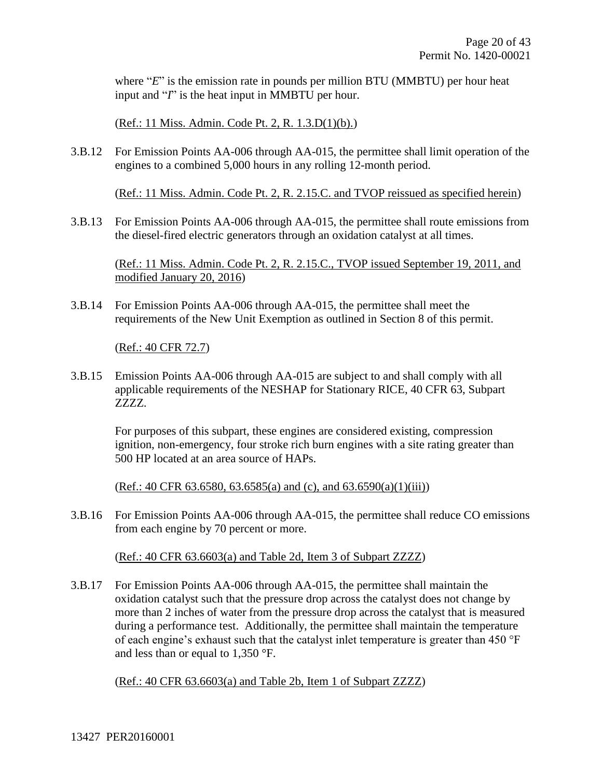where "*E*" is the emission rate in pounds per million BTU (MMBTU) per hour heat input and "*I*" is the heat input in MMBTU per hour.

(Ref.: 11 Miss. Admin. Code Pt. 2, R. 1.3.D(1)(b).)

3.B.12 For Emission Points AA-006 through AA-015, the permittee shall limit operation of the engines to a combined 5,000 hours in any rolling 12-month period.

(Ref.: 11 Miss. Admin. Code Pt. 2, R. 2.15.C. and TVOP reissued as specified herein)

3.B.13 For Emission Points AA-006 through AA-015, the permittee shall route emissions from the diesel-fired electric generators through an oxidation catalyst at all times.

(Ref.: 11 Miss. Admin. Code Pt. 2, R. 2.15.C., TVOP issued September 19, 2011, and modified January 20, 2016)

3.B.14 For Emission Points AA-006 through AA-015, the permittee shall meet the requirements of the New Unit Exemption as outlined in Section 8 of this permit.

(Ref.: 40 CFR 72.7)

3.B.15 Emission Points AA-006 through AA-015 are subject to and shall comply with all applicable requirements of the NESHAP for Stationary RICE, 40 CFR 63, Subpart ZZZZ.

For purposes of this subpart, these engines are considered existing, compression ignition, non-emergency, four stroke rich burn engines with a site rating greater than 500 HP located at an area source of HAPs.

 $(Ref.: 40 CFR 63.6580, 63.6585(a) and (c), and 63.6590(a)(1)(iii))$ 

3.B.16 For Emission Points AA-006 through AA-015, the permittee shall reduce CO emissions from each engine by 70 percent or more.

#### (Ref.: 40 CFR 63.6603(a) and Table 2d, Item 3 of Subpart ZZZZ)

3.B.17 For Emission Points AA-006 through AA-015, the permittee shall maintain the oxidation catalyst such that the pressure drop across the catalyst does not change by more than 2 inches of water from the pressure drop across the catalyst that is measured during a performance test. Additionally, the permittee shall maintain the temperature of each engine's exhaust such that the catalyst inlet temperature is greater than 450 °F and less than or equal to 1,350 °F.

(Ref.: 40 CFR 63.6603(a) and Table 2b, Item 1 of Subpart ZZZZ)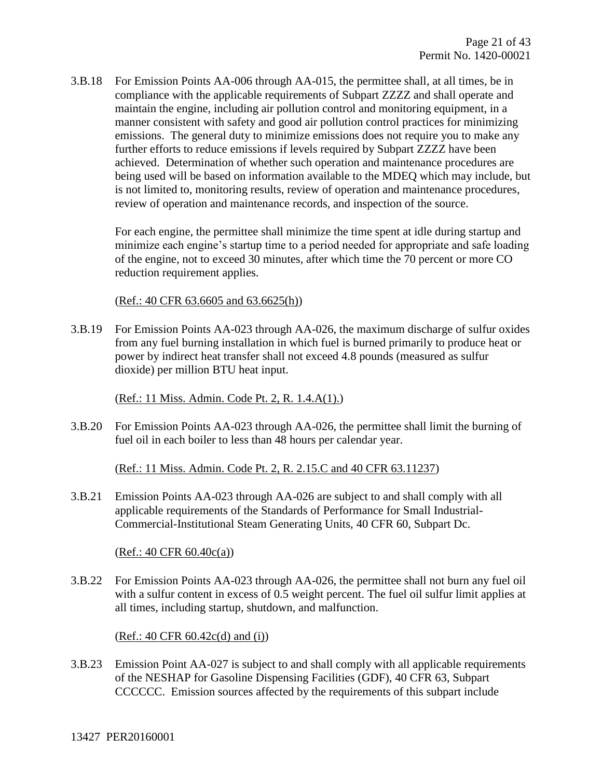3.B.18 For Emission Points AA-006 through AA-015, the permittee shall, at all times, be in compliance with the applicable requirements of Subpart ZZZZ and shall operate and maintain the engine, including air pollution control and monitoring equipment, in a manner consistent with safety and good air pollution control practices for minimizing emissions. The general duty to minimize emissions does not require you to make any further efforts to reduce emissions if levels required by Subpart ZZZZ have been achieved. Determination of whether such operation and maintenance procedures are being used will be based on information available to the MDEQ which may include, but is not limited to, monitoring results, review of operation and maintenance procedures, review of operation and maintenance records, and inspection of the source.

For each engine, the permittee shall minimize the time spent at idle during startup and minimize each engine's startup time to a period needed for appropriate and safe loading of the engine, not to exceed 30 minutes, after which time the 70 percent or more CO reduction requirement applies.

(Ref.: 40 CFR 63.6605 and 63.6625(h))

3.B.19 For Emission Points AA-023 through AA-026, the maximum discharge of sulfur oxides from any fuel burning installation in which fuel is burned primarily to produce heat or power by indirect heat transfer shall not exceed 4.8 pounds (measured as sulfur dioxide) per million BTU heat input.

(Ref.: 11 Miss. Admin. Code Pt. 2, R. 1.4.A(1).)

3.B.20 For Emission Points AA-023 through AA-026, the permittee shall limit the burning of fuel oil in each boiler to less than 48 hours per calendar year.

(Ref.: 11 Miss. Admin. Code Pt. 2, R. 2.15.C and 40 CFR 63.11237)

3.B.21 Emission Points AA-023 through AA-026 are subject to and shall comply with all applicable requirements of the Standards of Performance for Small Industrial-Commercial-Institutional Steam Generating Units, 40 CFR 60, Subpart Dc.

 $(Ref.: 40 CFR 60.40c(a))$ 

3.B.22 For Emission Points AA-023 through AA-026, the permittee shall not burn any fuel oil with a sulfur content in excess of 0.5 weight percent. The fuel oil sulfur limit applies at all times, including startup, shutdown, and malfunction.

(Ref.: 40 CFR 60.42c(d) and (i))

3.B.23 Emission Point AA-027 is subject to and shall comply with all applicable requirements of the NESHAP for Gasoline Dispensing Facilities (GDF), 40 CFR 63, Subpart CCCCCC. Emission sources affected by the requirements of this subpart include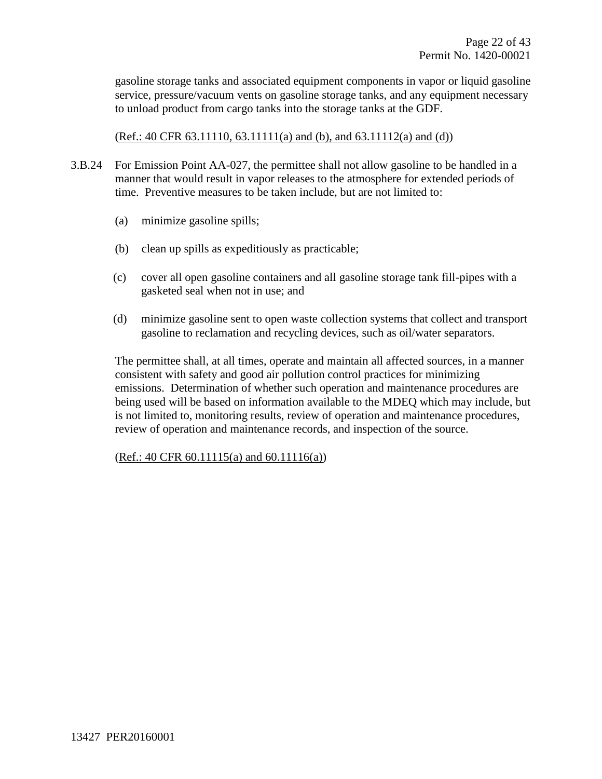gasoline storage tanks and associated equipment components in vapor or liquid gasoline service, pressure/vacuum vents on gasoline storage tanks, and any equipment necessary to unload product from cargo tanks into the storage tanks at the GDF.

(Ref.: 40 CFR 63.11110, 63.11111(a) and (b), and 63.11112(a) and (d))

- 3.B.24 For Emission Point AA-027, the permittee shall not allow gasoline to be handled in a manner that would result in vapor releases to the atmosphere for extended periods of time. Preventive measures to be taken include, but are not limited to:
	- (a) minimize gasoline spills;
	- (b) clean up spills as expeditiously as practicable;
	- (c) cover all open gasoline containers and all gasoline storage tank fill-pipes with a gasketed seal when not in use; and
	- (d) minimize gasoline sent to open waste collection systems that collect and transport gasoline to reclamation and recycling devices, such as oil/water separators.

The permittee shall, at all times, operate and maintain all affected sources, in a manner consistent with safety and good air pollution control practices for minimizing emissions. Determination of whether such operation and maintenance procedures are being used will be based on information available to the MDEQ which may include, but is not limited to, monitoring results, review of operation and maintenance procedures, review of operation and maintenance records, and inspection of the source.

 $(Ref.: 40 CFR 60.11115(a) and 60.11116(a))$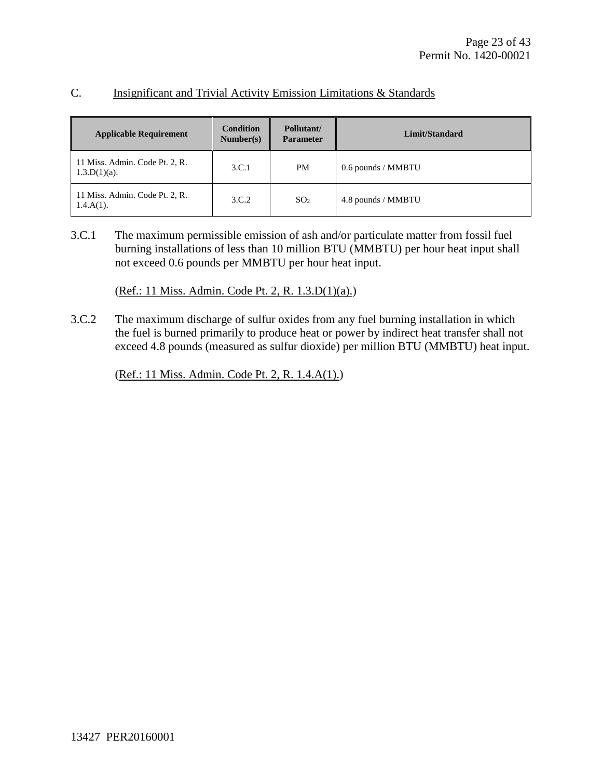#### C. Insignificant and Trivial Activity Emission Limitations & Standards

| <b>Applicable Requirement</b>                     | <b>Condition</b><br>Number(s) | Pollutant/<br><b>Parameter</b> | Limit/Standard     |
|---------------------------------------------------|-------------------------------|--------------------------------|--------------------|
| 11 Miss. Admin. Code Pt. 2, R.<br>$1.3.D(1)(a)$ . | 3.C.1                         | <b>PM</b>                      | 0.6 pounds / MMBTU |
| 11 Miss. Admin. Code Pt. 2, R.<br>$1.4.A(1)$ .    | 3.C.2                         | SO <sub>2</sub>                | 4.8 pounds / MMBTU |

3.C.1 The maximum permissible emission of ash and/or particulate matter from fossil fuel burning installations of less than 10 million BTU (MMBTU) per hour heat input shall not exceed 0.6 pounds per MMBTU per hour heat input.

(Ref.: 11 Miss. Admin. Code Pt. 2, R. 1.3.D(1)(a).)

3.C.2 The maximum discharge of sulfur oxides from any fuel burning installation in which the fuel is burned primarily to produce heat or power by indirect heat transfer shall not exceed 4.8 pounds (measured as sulfur dioxide) per million BTU (MMBTU) heat input.

(Ref.: 11 Miss. Admin. Code Pt. 2, R. 1.4.A(1).)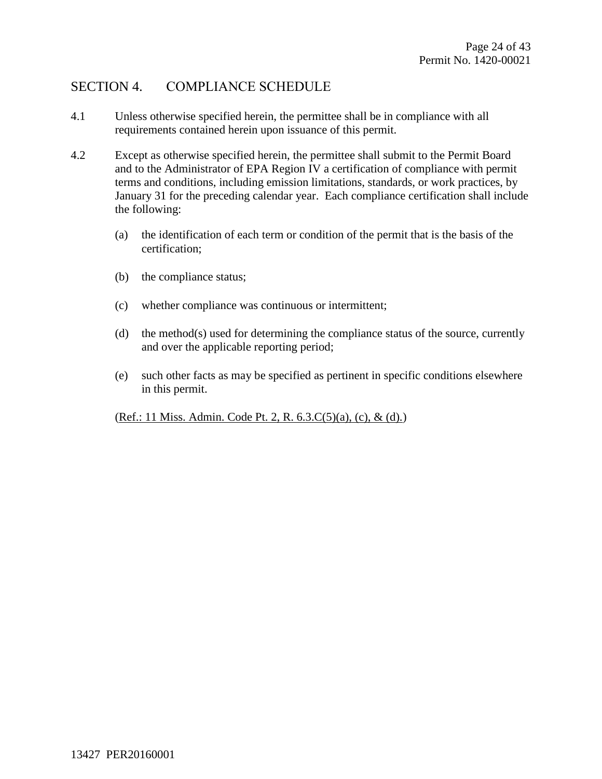### SECTION 4. COMPLIANCE SCHEDULE

- 4.1 Unless otherwise specified herein, the permittee shall be in compliance with all requirements contained herein upon issuance of this permit.
- 4.2 Except as otherwise specified herein, the permittee shall submit to the Permit Board and to the Administrator of EPA Region IV a certification of compliance with permit terms and conditions, including emission limitations, standards, or work practices, by January 31 for the preceding calendar year. Each compliance certification shall include the following:
	- (a) the identification of each term or condition of the permit that is the basis of the certification;
	- (b) the compliance status;
	- (c) whether compliance was continuous or intermittent;
	- (d) the method(s) used for determining the compliance status of the source, currently and over the applicable reporting period;
	- (e) such other facts as may be specified as pertinent in specific conditions elsewhere in this permit.

(Ref.: 11 Miss. Admin. Code Pt. 2, R. 6.3.C(5)(a), (c), & (d).)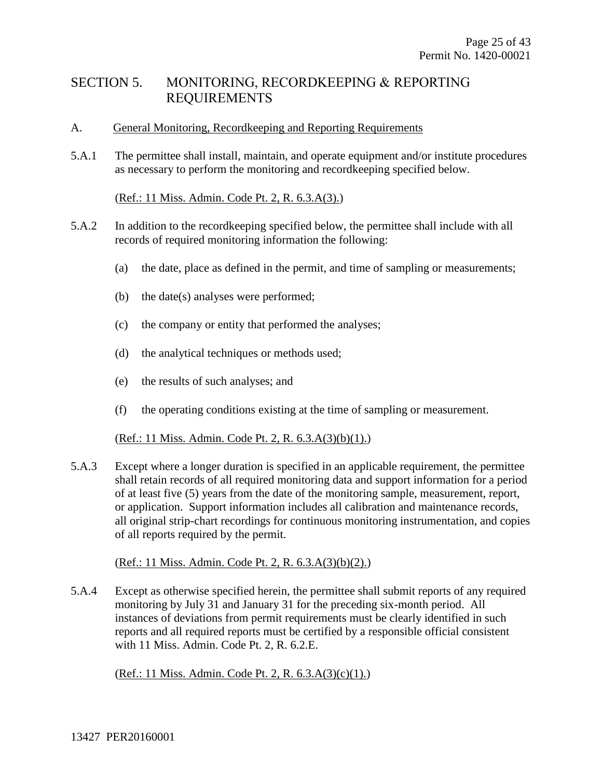### SECTION 5. MONITORING, RECORDKEEPING & REPORTING REQUIREMENTS

#### A. General Monitoring, Recordkeeping and Reporting Requirements

5.A.1 The permittee shall install, maintain, and operate equipment and/or institute procedures as necessary to perform the monitoring and recordkeeping specified below.

#### (Ref.: 11 Miss. Admin. Code Pt. 2, R. 6.3.A(3).)

- 5.A.2 In addition to the recordkeeping specified below, the permittee shall include with all records of required monitoring information the following:
	- (a) the date, place as defined in the permit, and time of sampling or measurements;
	- (b) the date(s) analyses were performed;
	- (c) the company or entity that performed the analyses;
	- (d) the analytical techniques or methods used;
	- (e) the results of such analyses; and
	- (f) the operating conditions existing at the time of sampling or measurement.

### (Ref.: 11 Miss. Admin. Code Pt. 2, R. 6.3.A(3)(b)(1).)

5.A.3 Except where a longer duration is specified in an applicable requirement, the permittee shall retain records of all required monitoring data and support information for a period of at least five (5) years from the date of the monitoring sample, measurement, report, or application. Support information includes all calibration and maintenance records, all original strip-chart recordings for continuous monitoring instrumentation, and copies of all reports required by the permit.

(Ref.: 11 Miss. Admin. Code Pt. 2, R. 6.3.A(3)(b)(2).)

5.A.4 Except as otherwise specified herein, the permittee shall submit reports of any required monitoring by July 31 and January 31 for the preceding six-month period. All instances of deviations from permit requirements must be clearly identified in such reports and all required reports must be certified by a responsible official consistent with 11 Miss. Admin. Code Pt. 2, R. 6.2.E.

(Ref.: 11 Miss. Admin. Code Pt. 2, R. 6.3.A(3)(c)(1).)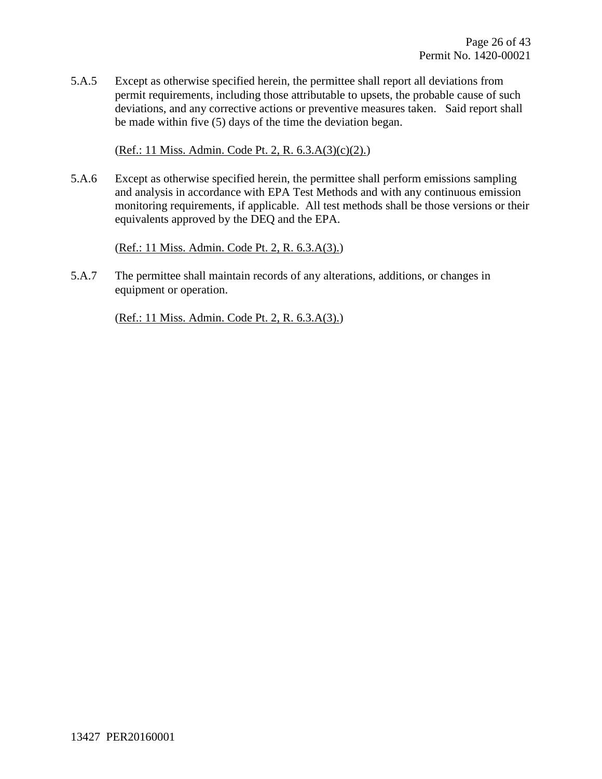5.A.5 Except as otherwise specified herein, the permittee shall report all deviations from permit requirements, including those attributable to upsets, the probable cause of such deviations, and any corrective actions or preventive measures taken. Said report shall be made within five (5) days of the time the deviation began.

(Ref.: 11 Miss. Admin. Code Pt. 2, R. 6.3.A(3)(c)(2).)

5.A.6 Except as otherwise specified herein, the permittee shall perform emissions sampling and analysis in accordance with EPA Test Methods and with any continuous emission monitoring requirements, if applicable. All test methods shall be those versions or their equivalents approved by the DEQ and the EPA.

(Ref.: 11 Miss. Admin. Code Pt. 2, R. 6.3.A(3).)

5.A.7 The permittee shall maintain records of any alterations, additions, or changes in equipment or operation.

(Ref.: 11 Miss. Admin. Code Pt. 2, R. 6.3.A(3).)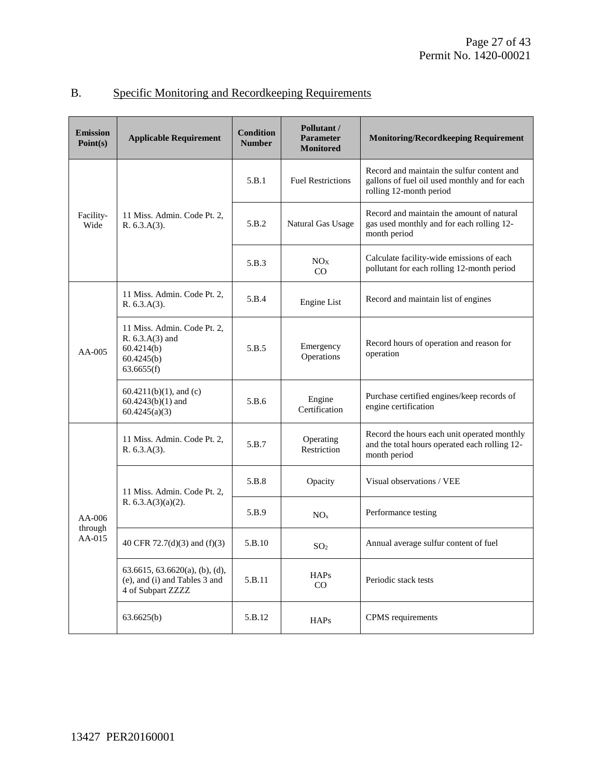| Specific Monitoring and Record keeping Requirements |
|-----------------------------------------------------|
|-----------------------------------------------------|

| <b>Emission</b><br>Point(s)     | <b>Applicable Requirement</b>                                                            | <b>Condition</b><br><b>Number</b> | Pollutant /<br><b>Parameter</b><br><b>Monitored</b> | <b>Monitoring/Recordkeeping Requirement</b>                                                                            |
|---------------------------------|------------------------------------------------------------------------------------------|-----------------------------------|-----------------------------------------------------|------------------------------------------------------------------------------------------------------------------------|
|                                 |                                                                                          | 5.B.1                             | <b>Fuel Restrictions</b>                            | Record and maintain the sulfur content and<br>gallons of fuel oil used monthly and for each<br>rolling 12-month period |
| Facility-<br>Wide               | 11 Miss. Admin. Code Pt. 2,<br>R. 6.3.A(3).                                              | 5.B.2                             | Natural Gas Usage                                   | Record and maintain the amount of natural<br>gas used monthly and for each rolling 12-<br>month period                 |
|                                 |                                                                                          | 5.B.3                             | NO <sub>X</sub><br>CO                               | Calculate facility-wide emissions of each<br>pollutant for each rolling 12-month period                                |
|                                 | 11 Miss. Admin. Code Pt. 2,<br>R. 6.3.A(3).                                              | 5.B.4                             | <b>Engine List</b>                                  | Record and maintain list of engines                                                                                    |
| $AA-005$                        | 11 Miss. Admin. Code Pt. 2.<br>R. 6.3.A(3) and<br>60.4214(b)<br>60.4245(b)<br>63.6655(f) | 5.B.5                             | Emergency<br>Operations                             | Record hours of operation and reason for<br>operation                                                                  |
|                                 | $60.4211(b)(1)$ , and (c)<br>$60.4243(b)(1)$ and<br>60.4245(a)(3)                        | 5.B.6                             | Engine<br>Certification                             | Purchase certified engines/keep records of<br>engine certification                                                     |
|                                 | 11 Miss. Admin. Code Pt. 2,<br>R. 6.3.A(3).                                              | 5.B.7                             | Operating<br>Restriction                            | Record the hours each unit operated monthly<br>and the total hours operated each rolling 12-<br>month period           |
| $AA-006$<br>through<br>$AA-015$ | 11 Miss. Admin. Code Pt. 2,<br>R. $6.3.A(3)(a)(2)$ .                                     | 5.B.8                             | Opacity                                             | Visual observations / VEE                                                                                              |
|                                 |                                                                                          | 5.B.9                             | NO <sub>x</sub>                                     | Performance testing                                                                                                    |
|                                 | 40 CFR 72.7(d)(3) and (f)(3)                                                             | 5.B.10                            | SO <sub>2</sub>                                     | Annual average sulfur content of fuel                                                                                  |
|                                 | 63.6615, 63.6620(a), (b), (d),<br>(e), and (i) and Tables 3 and<br>4 of Subpart ZZZZ     | 5.B.11                            | HAPs<br>$\rm CO$                                    | Periodic stack tests                                                                                                   |
|                                 | 63.6625(b)                                                                               | 5.B.12                            | <b>HAPs</b>                                         | CPMS requirements                                                                                                      |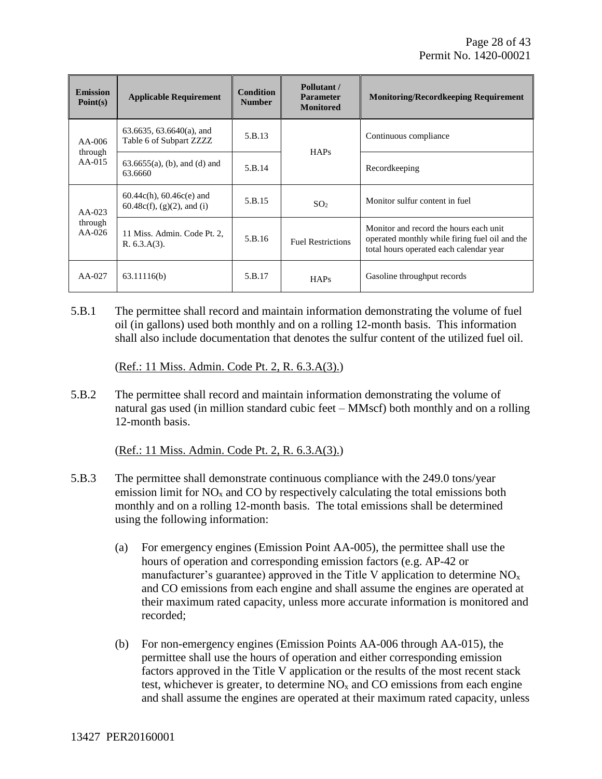| <b>Emission</b><br>Point(s) | <b>Applicable Requirement</b>                                  | <b>Condition</b><br><b>Number</b> | Pollutant /<br><b>Parameter</b><br><b>Monitored</b> | <b>Monitoring/Recordkeeping Requirement</b>                                                                                          |
|-----------------------------|----------------------------------------------------------------|-----------------------------------|-----------------------------------------------------|--------------------------------------------------------------------------------------------------------------------------------------|
| $AA-006$                    | $63.6635, 63.6640(a)$ , and<br>Table 6 of Subpart ZZZZ         | 5.B.13                            | HAPs                                                | Continuous compliance                                                                                                                |
| through<br>$AA-015$         | $63.6655(a)$ , (b), and (d) and<br>63.6660                     | 5.B.14                            |                                                     | Recordkeeping                                                                                                                        |
| $AA-023$                    | $60.44c(h)$ , $60.46c(e)$ and<br>$60.48c(f), (g)(2)$ , and (i) | 5.B.15                            | SO <sub>2</sub>                                     | Monitor sulfur content in fuel                                                                                                       |
| through<br>$AA-026$         | 11 Miss. Admin. Code Pt. 2,<br>R. 6.3.A(3).                    | 5.B.16                            | <b>Fuel Restrictions</b>                            | Monitor and record the hours each unit.<br>operated monthly while firing fuel oil and the<br>total hours operated each calendar year |
| AA-027                      | 63.11116(b)                                                    | 5.B.17                            | <b>HAPs</b>                                         | Gasoline throughput records                                                                                                          |

5.B.1 The permittee shall record and maintain information demonstrating the volume of fuel oil (in gallons) used both monthly and on a rolling 12-month basis. This information shall also include documentation that denotes the sulfur content of the utilized fuel oil.

(Ref.: 11 Miss. Admin. Code Pt. 2, R. 6.3.A(3).)

5.B.2 The permittee shall record and maintain information demonstrating the volume of natural gas used (in million standard cubic feet – MMscf) both monthly and on a rolling 12-month basis.

(Ref.: 11 Miss. Admin. Code Pt. 2, R. 6.3.A(3).)

- 5.B.3 The permittee shall demonstrate continuous compliance with the 249.0 tons/year emission limit for  $NO<sub>x</sub>$  and  $CO$  by respectively calculating the total emissions both monthly and on a rolling 12-month basis. The total emissions shall be determined using the following information:
	- (a) For emergency engines (Emission Point AA-005), the permittee shall use the hours of operation and corresponding emission factors (e.g. AP-42 or manufacturer's guarantee) approved in the Title V application to determine  $NO<sub>x</sub>$ and CO emissions from each engine and shall assume the engines are operated at their maximum rated capacity, unless more accurate information is monitored and recorded;
	- (b) For non-emergency engines (Emission Points AA-006 through AA-015), the permittee shall use the hours of operation and either corresponding emission factors approved in the Title V application or the results of the most recent stack test, whichever is greater, to determine  $NO<sub>x</sub>$  and CO emissions from each engine and shall assume the engines are operated at their maximum rated capacity, unless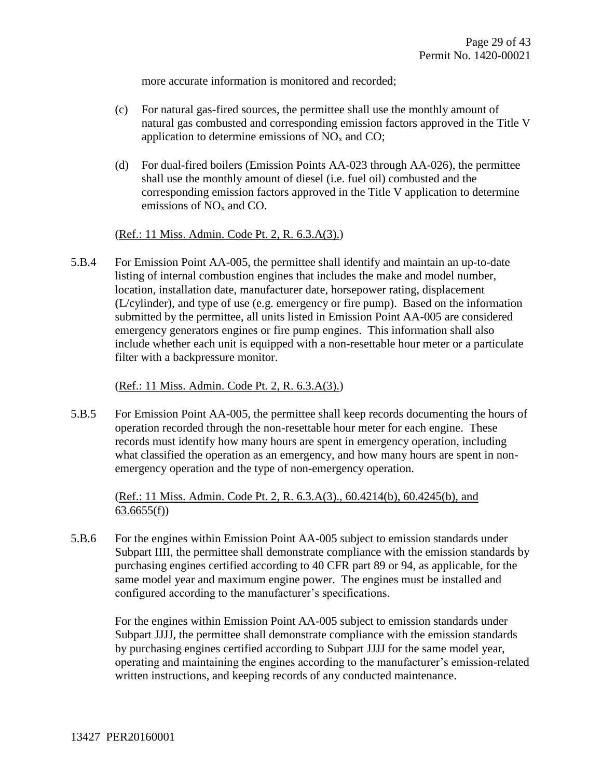more accurate information is monitored and recorded;

- (c) For natural gas-fired sources, the permittee shall use the monthly amount of natural gas combusted and corresponding emission factors approved in the Title V application to determine emissions of  $NO<sub>x</sub>$  and CO;
- (d) For dual-fired boilers (Emission Points AA-023 through AA-026), the permittee shall use the monthly amount of diesel (i.e. fuel oil) combusted and the corresponding emission factors approved in the Title V application to determine emissions of  $NO<sub>x</sub>$  and CO.

(Ref.: 11 Miss. Admin. Code Pt. 2, R. 6.3.A(3).)

5.B.4 For Emission Point AA-005, the permittee shall identify and maintain an up-to-date listing of internal combustion engines that includes the make and model number, location, installation date, manufacturer date, horsepower rating, displacement (L/cylinder), and type of use (e.g. emergency or fire pump). Based on the information submitted by the permittee, all units listed in Emission Point AA-005 are considered emergency generators engines or fire pump engines. This information shall also include whether each unit is equipped with a non-resettable hour meter or a particulate filter with a backpressure monitor.

(Ref.: 11 Miss. Admin. Code Pt. 2, R. 6.3.A(3).)

5.B.5 For Emission Point AA-005, the permittee shall keep records documenting the hours of operation recorded through the non-resettable hour meter for each engine. These records must identify how many hours are spent in emergency operation, including what classified the operation as an emergency, and how many hours are spent in nonemergency operation and the type of non-emergency operation.

(Ref.: 11 Miss. Admin. Code Pt. 2, R. 6.3.A(3)., 60.4214(b), 60.4245(b), and 63.6655(f))

5.B.6 For the engines within Emission Point AA-005 subject to emission standards under Subpart IIII, the permittee shall demonstrate compliance with the emission standards by purchasing engines certified according to 40 CFR part 89 or 94, as applicable, for the same model year and maximum engine power. The engines must be installed and configured according to the manufacturer's specifications.

For the engines within Emission Point AA-005 subject to emission standards under Subpart JJJJ, the permittee shall demonstrate compliance with the emission standards by purchasing engines certified according to Subpart JJJJ for the same model year, operating and maintaining the engines according to the manufacturer's emission-related written instructions, and keeping records of any conducted maintenance.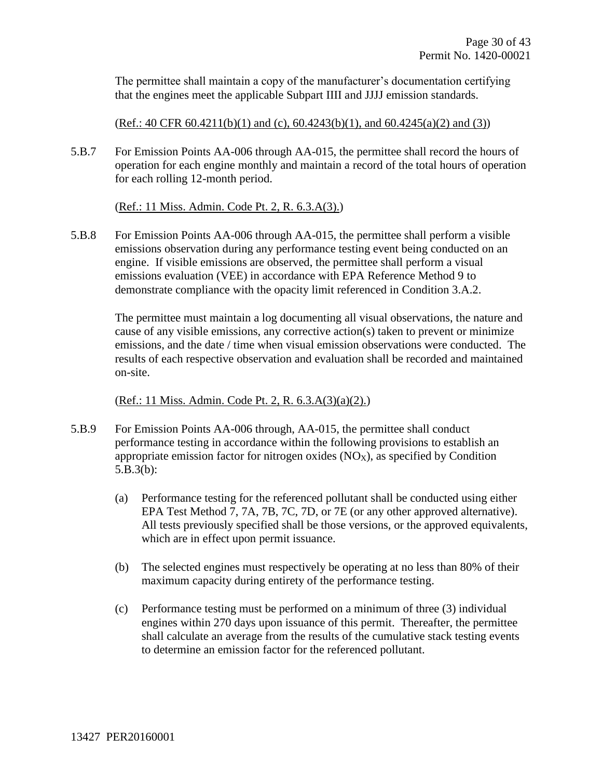The permittee shall maintain a copy of the manufacturer's documentation certifying that the engines meet the applicable Subpart IIII and JJJJ emission standards.

 $(Ref.: 40 CFR 60.4211(b)(1)$  and  $(c), 60.4243(b)(1)$ , and  $60.4245(a)(2)$  and  $(3)$ )

5.B.7 For Emission Points AA-006 through AA-015, the permittee shall record the hours of operation for each engine monthly and maintain a record of the total hours of operation for each rolling 12-month period.

(Ref.: 11 Miss. Admin. Code Pt. 2, R. 6.3.A(3).)

5.B.8 For Emission Points AA-006 through AA-015, the permittee shall perform a visible emissions observation during any performance testing event being conducted on an engine. If visible emissions are observed, the permittee shall perform a visual emissions evaluation (VEE) in accordance with EPA Reference Method 9 to demonstrate compliance with the opacity limit referenced in Condition 3.A.2.

The permittee must maintain a log documenting all visual observations, the nature and cause of any visible emissions, any corrective action(s) taken to prevent or minimize emissions, and the date / time when visual emission observations were conducted. The results of each respective observation and evaluation shall be recorded and maintained on-site.

(Ref.: 11 Miss. Admin. Code Pt. 2, R. 6.3.A(3)(a)(2).)

- 5.B.9 For Emission Points AA-006 through, AA-015, the permittee shall conduct performance testing in accordance within the following provisions to establish an appropriate emission factor for nitrogen oxides  $(NO_X)$ , as specified by Condition 5.B.3(b):
	- (a) Performance testing for the referenced pollutant shall be conducted using either EPA Test Method 7, 7A, 7B, 7C, 7D, or 7E (or any other approved alternative). All tests previously specified shall be those versions, or the approved equivalents, which are in effect upon permit issuance.
	- (b) The selected engines must respectively be operating at no less than 80% of their maximum capacity during entirety of the performance testing.
	- (c) Performance testing must be performed on a minimum of three (3) individual engines within 270 days upon issuance of this permit. Thereafter, the permittee shall calculate an average from the results of the cumulative stack testing events to determine an emission factor for the referenced pollutant.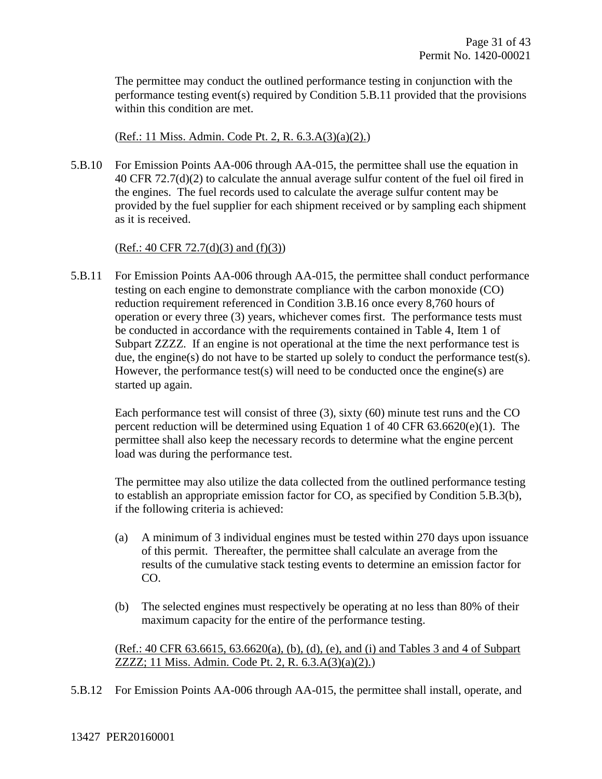The permittee may conduct the outlined performance testing in conjunction with the performance testing event(s) required by Condition 5.B.11 provided that the provisions within this condition are met.

(Ref.: 11 Miss. Admin. Code Pt. 2, R. 6.3.A(3)(a)(2).)

5.B.10 For Emission Points AA-006 through AA-015, the permittee shall use the equation in 40 CFR 72.7(d)(2) to calculate the annual average sulfur content of the fuel oil fired in the engines. The fuel records used to calculate the average sulfur content may be provided by the fuel supplier for each shipment received or by sampling each shipment as it is received.

#### $(Ref.: 40 CFR 72.7(d)(3)$  and  $(f)(3)$

5.B.11 For Emission Points AA-006 through AA-015, the permittee shall conduct performance testing on each engine to demonstrate compliance with the carbon monoxide (CO) reduction requirement referenced in Condition 3.B.16 once every 8,760 hours of operation or every three (3) years, whichever comes first. The performance tests must be conducted in accordance with the requirements contained in Table 4, Item 1 of Subpart ZZZZ. If an engine is not operational at the time the next performance test is due, the engine(s) do not have to be started up solely to conduct the performance test(s). However, the performance test(s) will need to be conducted once the engine(s) are started up again.

Each performance test will consist of three (3), sixty (60) minute test runs and the CO percent reduction will be determined using Equation 1 of 40 CFR 63.6620(e)(1). The permittee shall also keep the necessary records to determine what the engine percent load was during the performance test.

The permittee may also utilize the data collected from the outlined performance testing to establish an appropriate emission factor for CO, as specified by Condition 5.B.3(b), if the following criteria is achieved:

- (a) A minimum of 3 individual engines must be tested within 270 days upon issuance of this permit. Thereafter, the permittee shall calculate an average from the results of the cumulative stack testing events to determine an emission factor for CO.
- (b) The selected engines must respectively be operating at no less than 80% of their maximum capacity for the entire of the performance testing.

(Ref.: 40 CFR 63.6615, 63.6620(a), (b), (d), (e), and (i) and Tables 3 and 4 of Subpart ZZZZ; 11 Miss. Admin. Code Pt. 2, R. 6.3.A(3)(a)(2).)

5.B.12 For Emission Points AA-006 through AA-015, the permittee shall install, operate, and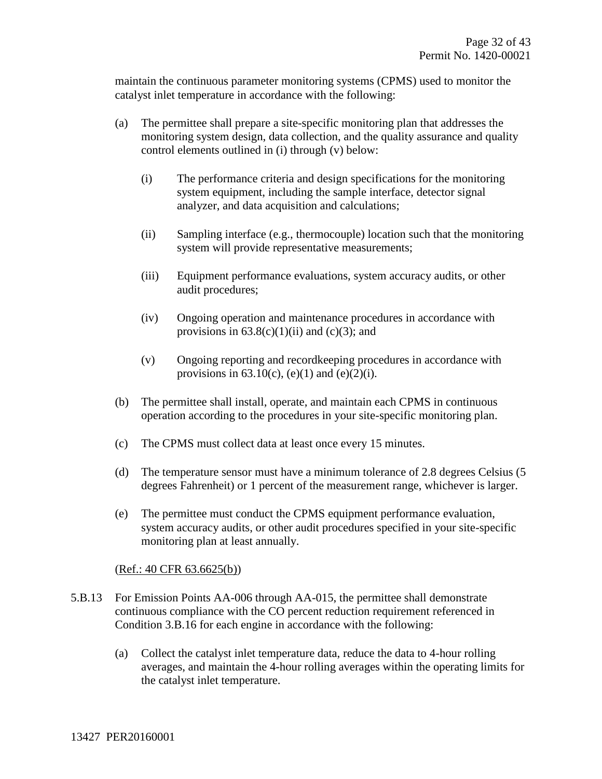maintain the continuous parameter monitoring systems (CPMS) used to monitor the catalyst inlet temperature in accordance with the following:

- (a) The permittee shall prepare a site-specific monitoring plan that addresses the monitoring system design, data collection, and the quality assurance and quality control elements outlined in (i) through (v) below:
	- (i) The performance criteria and design specifications for the monitoring system equipment, including the sample interface, detector signal analyzer, and data acquisition and calculations;
	- (ii) Sampling interface (e.g., thermocouple) location such that the monitoring system will provide representative measurements;
	- (iii) Equipment performance evaluations, system accuracy audits, or other audit procedures;
	- (iv) Ongoing operation and maintenance procedures in accordance with provisions in  $63.8(c)(1)(ii)$  and  $(c)(3)$ ; and
	- (v) Ongoing reporting and recordkeeping procedures in accordance with provisions in  $63.10(c)$ , (e)(1) and (e)(2)(i).
- (b) The permittee shall install, operate, and maintain each CPMS in continuous operation according to the procedures in your site-specific monitoring plan.
- (c) The CPMS must collect data at least once every 15 minutes.
- (d) The temperature sensor must have a minimum tolerance of 2.8 degrees Celsius (5 degrees Fahrenheit) or 1 percent of the measurement range, whichever is larger.
- (e) The permittee must conduct the CPMS equipment performance evaluation, system accuracy audits, or other audit procedures specified in your site-specific monitoring plan at least annually.

#### (Ref.: 40 CFR 63.6625(b))

- 5.B.13 For Emission Points AA-006 through AA-015, the permittee shall demonstrate continuous compliance with the CO percent reduction requirement referenced in Condition 3.B.16 for each engine in accordance with the following:
	- (a) Collect the catalyst inlet temperature data, reduce the data to 4-hour rolling averages, and maintain the 4-hour rolling averages within the operating limits for the catalyst inlet temperature.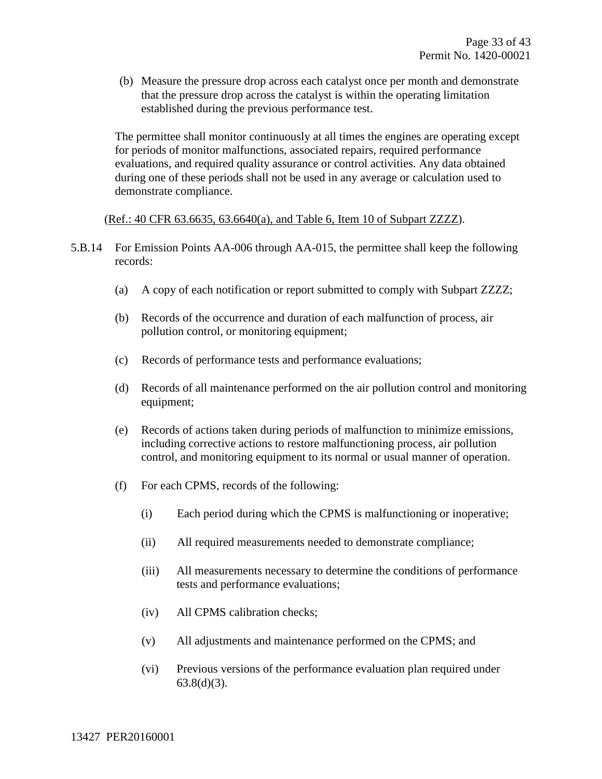(b) Measure the pressure drop across each catalyst once per month and demonstrate that the pressure drop across the catalyst is within the operating limitation established during the previous performance test.

The permittee shall monitor continuously at all times the engines are operating except for periods of monitor malfunctions, associated repairs, required performance evaluations, and required quality assurance or control activities. Any data obtained during one of these periods shall not be used in any average or calculation used to demonstrate compliance.

#### (Ref.: 40 CFR 63.6635, 63.6640(a), and Table 6, Item 10 of Subpart ZZZZ).

- 5.B.14 For Emission Points AA-006 through AA-015, the permittee shall keep the following records:
	- (a) A copy of each notification or report submitted to comply with Subpart ZZZZ;
	- (b) Records of the occurrence and duration of each malfunction of process, air pollution control, or monitoring equipment;
	- (c) Records of performance tests and performance evaluations;
	- (d) Records of all maintenance performed on the air pollution control and monitoring equipment;
	- (e) Records of actions taken during periods of malfunction to minimize emissions, including corrective actions to restore malfunctioning process, air pollution control, and monitoring equipment to its normal or usual manner of operation.
	- (f) For each CPMS, records of the following:
		- (i) Each period during which the CPMS is malfunctioning or inoperative;
		- (ii) All required measurements needed to demonstrate compliance;
		- (iii) All measurements necessary to determine the conditions of performance tests and performance evaluations;
		- (iv) All CPMS calibration checks;
		- (v) All adjustments and maintenance performed on the CPMS; and
		- (vi) Previous versions of the performance evaluation plan required under  $63.8(d)(3)$ .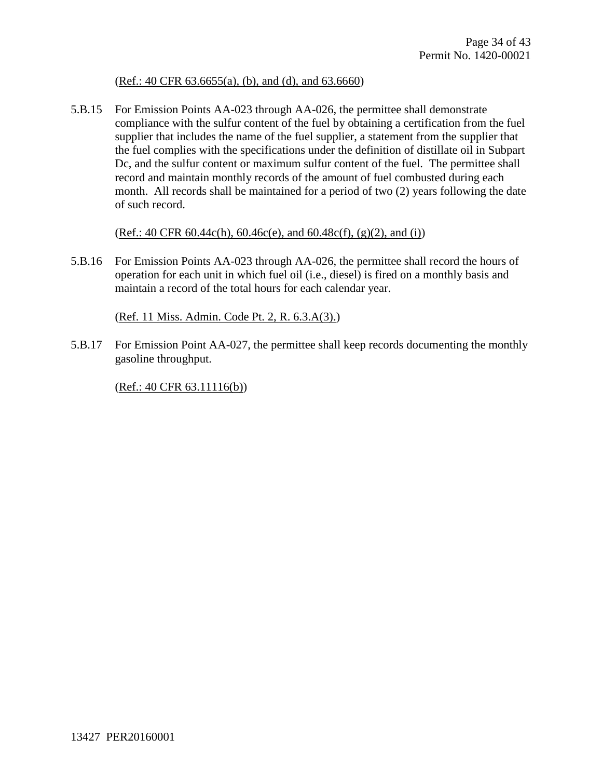#### (Ref.: 40 CFR 63.6655(a), (b), and (d), and 63.6660)

5.B.15 For Emission Points AA-023 through AA-026, the permittee shall demonstrate compliance with the sulfur content of the fuel by obtaining a certification from the fuel supplier that includes the name of the fuel supplier, a statement from the supplier that the fuel complies with the specifications under the definition of distillate oil in Subpart Dc, and the sulfur content or maximum sulfur content of the fuel. The permittee shall record and maintain monthly records of the amount of fuel combusted during each month. All records shall be maintained for a period of two (2) years following the date of such record.

 $(Ref.: 40 CFR 60.44c(h), 60.46c(e), and 60.48c(f), (g)(2), and (i))$ 

5.B.16 For Emission Points AA-023 through AA-026, the permittee shall record the hours of operation for each unit in which fuel oil (i.e., diesel) is fired on a monthly basis and maintain a record of the total hours for each calendar year.

(Ref. 11 Miss. Admin. Code Pt. 2, R. 6.3.A(3).)

5.B.17 For Emission Point AA-027, the permittee shall keep records documenting the monthly gasoline throughput.

(Ref.: 40 CFR 63.11116(b))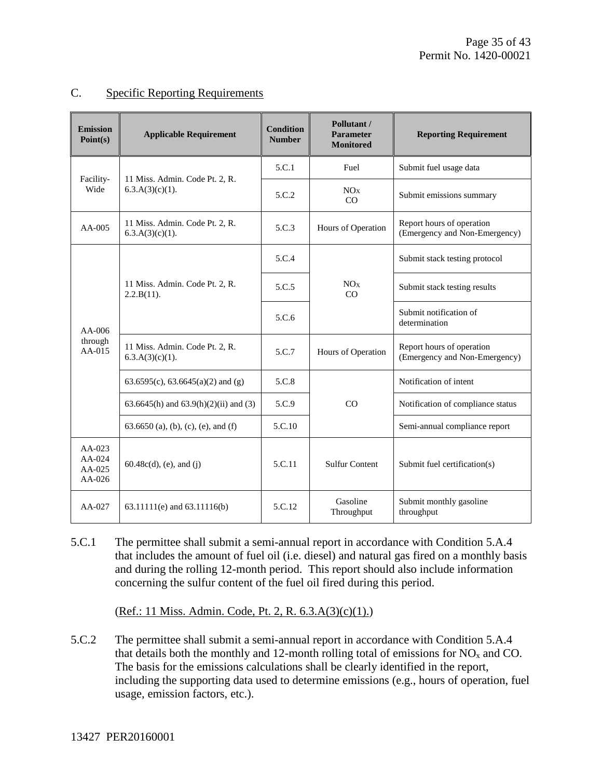#### C. Specific Reporting Requirements

| <b>Emission</b><br>Point(s)                | <b>Applicable Requirement</b>                        | <b>Condition</b><br><b>Number</b> | Pollutant /<br><b>Parameter</b><br><b>Monitored</b> | <b>Reporting Requirement</b>                               |
|--------------------------------------------|------------------------------------------------------|-----------------------------------|-----------------------------------------------------|------------------------------------------------------------|
|                                            | 11 Miss. Admin. Code Pt. 2, R.                       | 5.C.1                             | Fuel                                                | Submit fuel usage data                                     |
| Facility-<br>Wide                          | $6.3.A(3)(c)(1)$ .                                   | 5.C.2                             | NOx<br>CO                                           | Submit emissions summary                                   |
| $AA-005$                                   | 11 Miss. Admin. Code Pt. 2, R.<br>$6.3.A(3)(c)(1)$ . | 5.C.3                             | Hours of Operation                                  | Report hours of operation<br>(Emergency and Non-Emergency) |
|                                            |                                                      | 5.C.4                             |                                                     | Submit stack testing protocol                              |
|                                            | 11 Miss. Admin. Code Pt. 2, R.<br>2.2.B(11).         | 5.C.5                             | NO <sub>x</sub><br>CO                               | Submit stack testing results                               |
| $AA-006$                                   |                                                      | 5.C.6                             |                                                     | Submit notification of<br>determination                    |
| through<br>AA-015                          | 11 Miss. Admin. Code Pt. 2, R.<br>$6.3.A(3)(c)(1)$ . | 5.C.7                             | Hours of Operation                                  | Report hours of operation<br>(Emergency and Non-Emergency) |
|                                            | 63.6595(c), 63.6645(a)(2) and (g)                    | 5.C.8                             |                                                     | Notification of intent                                     |
|                                            | 63.6645(h) and 63.9(h)(2)(ii) and (3)                | 5.C.9                             | CO                                                  | Notification of compliance status                          |
|                                            | $63.6650$ (a), (b), (c), (e), and (f)                | 5.C.10                            |                                                     | Semi-annual compliance report                              |
| $AA-023$<br>AA-024<br>$AA-025$<br>$AA-026$ | $60.48c(d)$ , (e), and (j)                           | 5.C.11                            | <b>Sulfur Content</b>                               | Submit fuel certification(s)                               |
| AA-027                                     | 63.11111(e) and 63.11116(b)                          | 5.C.12                            | Gasoline<br>Throughput                              | Submit monthly gasoline<br>throughput                      |

5.C.1 The permittee shall submit a semi-annual report in accordance with Condition 5.A.4 that includes the amount of fuel oil (i.e. diesel) and natural gas fired on a monthly basis and during the rolling 12-month period. This report should also include information concerning the sulfur content of the fuel oil fired during this period.

(Ref.: 11 Miss. Admin. Code, Pt. 2, R. 6.3.A(3)(c)(1).)

5.C.2 The permittee shall submit a semi-annual report in accordance with Condition 5.A.4 that details both the monthly and 12-month rolling total of emissions for  $NO<sub>x</sub>$  and CO. The basis for the emissions calculations shall be clearly identified in the report, including the supporting data used to determine emissions (e.g., hours of operation, fuel usage, emission factors, etc.).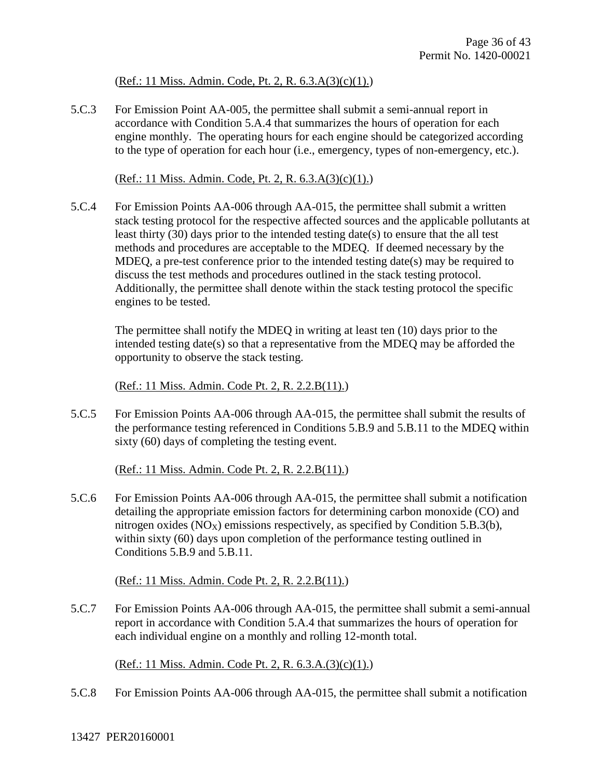#### (Ref.: 11 Miss. Admin. Code, Pt. 2, R. 6.3.A(3)(c)(1).)

5.C.3 For Emission Point AA-005, the permittee shall submit a semi-annual report in accordance with Condition 5.A.4 that summarizes the hours of operation for each engine monthly. The operating hours for each engine should be categorized according to the type of operation for each hour (i.e., emergency, types of non-emergency, etc.).

(Ref.: 11 Miss. Admin. Code, Pt. 2, R. 6.3.A(3)(c)(1).)

5.C.4 For Emission Points AA-006 through AA-015, the permittee shall submit a written stack testing protocol for the respective affected sources and the applicable pollutants at least thirty (30) days prior to the intended testing date(s) to ensure that the all test methods and procedures are acceptable to the MDEQ. If deemed necessary by the MDEQ, a pre-test conference prior to the intended testing date(s) may be required to discuss the test methods and procedures outlined in the stack testing protocol. Additionally, the permittee shall denote within the stack testing protocol the specific engines to be tested.

The permittee shall notify the MDEQ in writing at least ten (10) days prior to the intended testing date(s) so that a representative from the MDEQ may be afforded the opportunity to observe the stack testing.

(Ref.: 11 Miss. Admin. Code Pt. 2, R. 2.2.B(11).)

5.C.5 For Emission Points AA-006 through AA-015, the permittee shall submit the results of the performance testing referenced in Conditions 5.B.9 and 5.B.11 to the MDEQ within sixty (60) days of completing the testing event.

(Ref.: 11 Miss. Admin. Code Pt. 2, R. 2.2.B(11).)

5.C.6 For Emission Points AA-006 through AA-015, the permittee shall submit a notification detailing the appropriate emission factors for determining carbon monoxide (CO) and nitrogen oxides  $(NO_X)$  emissions respectively, as specified by Condition 5.B.3(b), within sixty (60) days upon completion of the performance testing outlined in Conditions 5.B.9 and 5.B.11.

(Ref.: 11 Miss. Admin. Code Pt. 2, R. 2.2.B(11).)

5.C.7 For Emission Points AA-006 through AA-015, the permittee shall submit a semi-annual report in accordance with Condition 5.A.4 that summarizes the hours of operation for each individual engine on a monthly and rolling 12-month total.

(Ref.: 11 Miss. Admin. Code Pt. 2, R. 6.3.A.(3)(c)(1).)

5.C.8 For Emission Points AA-006 through AA-015, the permittee shall submit a notification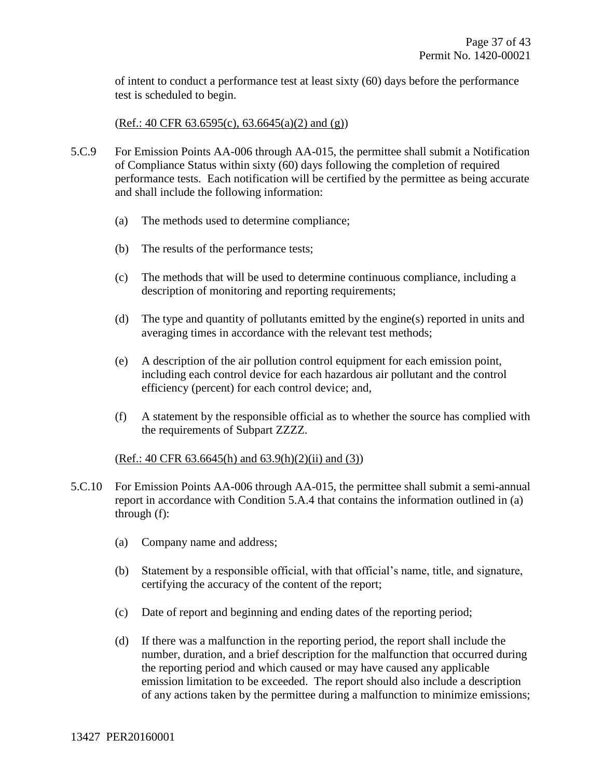of intent to conduct a performance test at least sixty (60) days before the performance test is scheduled to begin.

(Ref.: 40 CFR  $63.6595(c)$ ,  $63.6645(a)(2)$  and  $(g)$ )

- 5.C.9 For Emission Points AA-006 through AA-015, the permittee shall submit a Notification of Compliance Status within sixty (60) days following the completion of required performance tests. Each notification will be certified by the permittee as being accurate and shall include the following information:
	- (a) The methods used to determine compliance;
	- (b) The results of the performance tests;
	- (c) The methods that will be used to determine continuous compliance, including a description of monitoring and reporting requirements;
	- (d) The type and quantity of pollutants emitted by the engine(s) reported in units and averaging times in accordance with the relevant test methods;
	- (e) A description of the air pollution control equipment for each emission point, including each control device for each hazardous air pollutant and the control efficiency (percent) for each control device; and,
	- (f) A statement by the responsible official as to whether the source has complied with the requirements of Subpart ZZZZ.

#### $(Ref.: 40 CFR 63.6645(h)$  and  $63.9(h)(2)(ii)$  and  $(3))$

- 5.C.10 For Emission Points AA-006 through AA-015, the permittee shall submit a semi-annual report in accordance with Condition 5.A.4 that contains the information outlined in (a) through (f):
	- (a) Company name and address;
	- (b) Statement by a responsible official, with that official's name, title, and signature, certifying the accuracy of the content of the report;
	- (c) Date of report and beginning and ending dates of the reporting period;
	- (d) If there was a malfunction in the reporting period, the report shall include the number, duration, and a brief description for the malfunction that occurred during the reporting period and which caused or may have caused any applicable emission limitation to be exceeded. The report should also include a description of any actions taken by the permittee during a malfunction to minimize emissions;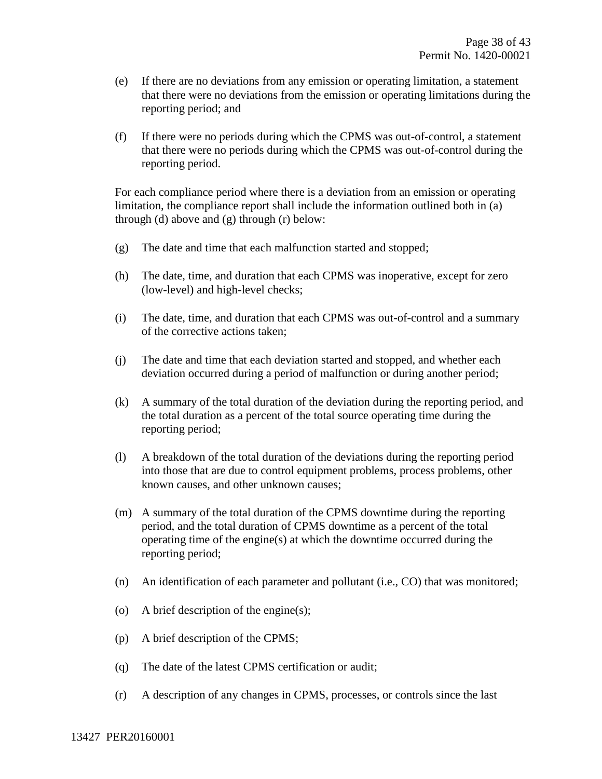- (e) If there are no deviations from any emission or operating limitation, a statement that there were no deviations from the emission or operating limitations during the reporting period; and
- (f) If there were no periods during which the CPMS was out-of-control, a statement that there were no periods during which the CPMS was out-of-control during the reporting period.

For each compliance period where there is a deviation from an emission or operating limitation, the compliance report shall include the information outlined both in (a) through (d) above and (g) through (r) below:

- (g) The date and time that each malfunction started and stopped;
- (h) The date, time, and duration that each CPMS was inoperative, except for zero (low-level) and high-level checks;
- (i) The date, time, and duration that each CPMS was out-of-control and a summary of the corrective actions taken;
- (j) The date and time that each deviation started and stopped, and whether each deviation occurred during a period of malfunction or during another period;
- (k) A summary of the total duration of the deviation during the reporting period, and the total duration as a percent of the total source operating time during the reporting period;
- (l) A breakdown of the total duration of the deviations during the reporting period into those that are due to control equipment problems, process problems, other known causes, and other unknown causes;
- (m) A summary of the total duration of the CPMS downtime during the reporting period, and the total duration of CPMS downtime as a percent of the total operating time of the engine(s) at which the downtime occurred during the reporting period;
- (n) An identification of each parameter and pollutant (i.e., CO) that was monitored;
- (o) A brief description of the engine(s);
- (p) A brief description of the CPMS;
- (q) The date of the latest CPMS certification or audit;
- (r) A description of any changes in CPMS, processes, or controls since the last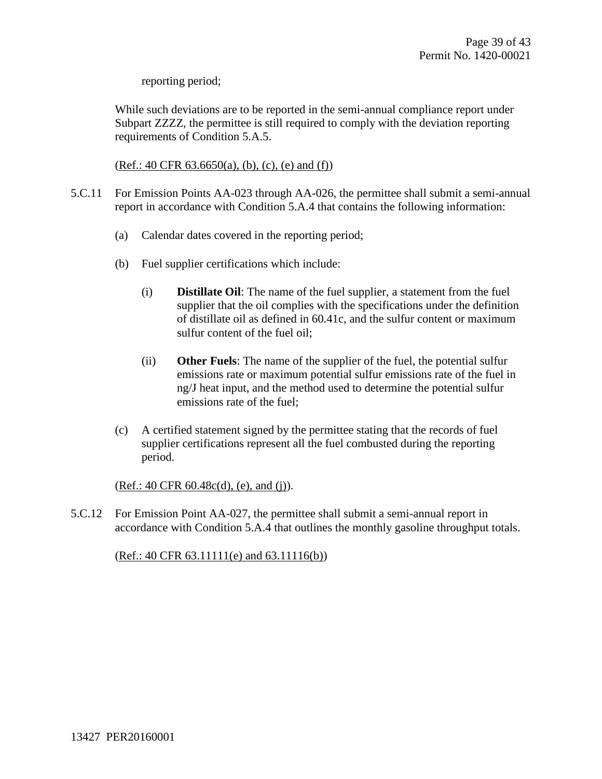reporting period;

While such deviations are to be reported in the semi-annual compliance report under Subpart ZZZZ, the permittee is still required to comply with the deviation reporting requirements of Condition 5.A.5.

 $(Ref.: 40 CFR 63.6650(a), (b), (c), (e)$  and  $(f)$ )

- 5.C.11 For Emission Points AA-023 through AA-026, the permittee shall submit a semi-annual report in accordance with Condition 5.A.4 that contains the following information:
	- (a) Calendar dates covered in the reporting period;
	- (b) Fuel supplier certifications which include:
		- (i) **Distillate Oil**: The name of the fuel supplier, a statement from the fuel supplier that the oil complies with the specifications under the definition of distillate oil as defined in 60.41c, and the sulfur content or maximum sulfur content of the fuel oil;
		- (ii) **Other Fuels**: The name of the supplier of the fuel, the potential sulfur emissions rate or maximum potential sulfur emissions rate of the fuel in ng/J heat input, and the method used to determine the potential sulfur emissions rate of the fuel;
	- (c) A certified statement signed by the permittee stating that the records of fuel supplier certifications represent all the fuel combusted during the reporting period.

(Ref.: 40 CFR 60.48c(d), (e), and (j)).

5.C.12 For Emission Point AA-027, the permittee shall submit a semi-annual report in accordance with Condition 5.A.4 that outlines the monthly gasoline throughput totals.

(Ref.: 40 CFR 63.11111(e) and 63.11116(b))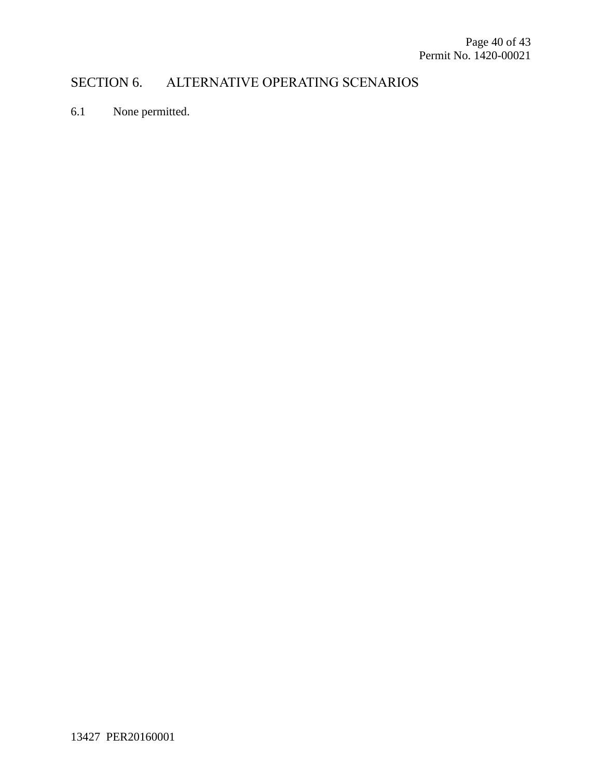## SECTION 6. ALTERNATIVE OPERATING SCENARIOS

6.1 None permitted.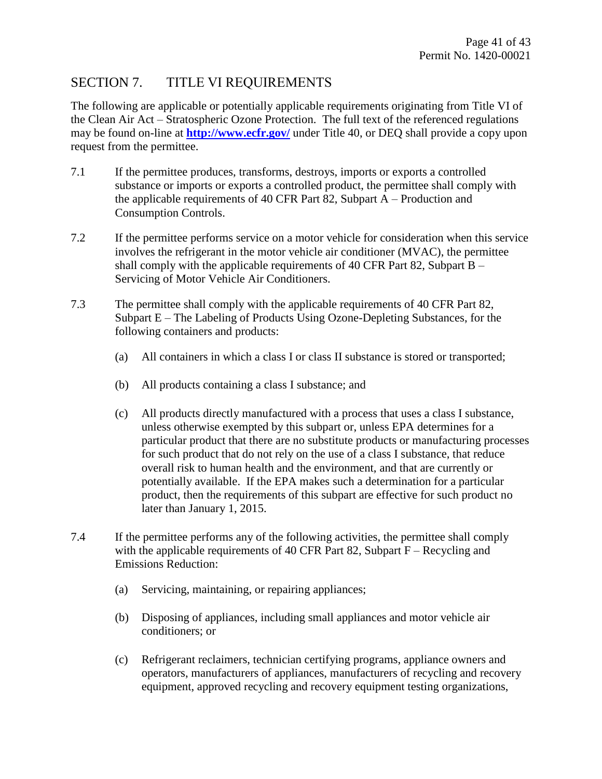### SECTION 7. TITLE VI REQUIREMENTS

The following are applicable or potentially applicable requirements originating from Title VI of the Clean Air Act – Stratospheric Ozone Protection. The full text of the referenced regulations may be found on-line at **<http://www.ecfr.gov/>** under Title 40, or DEQ shall provide a copy upon request from the permittee.

- 7.1 If the permittee produces, transforms, destroys, imports or exports a controlled substance or imports or exports a controlled product, the permittee shall comply with the applicable requirements of 40 CFR Part 82, Subpart A – Production and Consumption Controls.
- 7.2 If the permittee performs service on a motor vehicle for consideration when this service involves the refrigerant in the motor vehicle air conditioner (MVAC), the permittee shall comply with the applicable requirements of 40 CFR Part 82, Subpart B – Servicing of Motor Vehicle Air Conditioners.
- 7.3 The permittee shall comply with the applicable requirements of 40 CFR Part 82, Subpart E – The Labeling of Products Using Ozone-Depleting Substances, for the following containers and products:
	- (a) All containers in which a class I or class II substance is stored or transported;
	- (b) All products containing a class I substance; and
	- (c) All products directly manufactured with a process that uses a class I substance, unless otherwise exempted by this subpart or, unless EPA determines for a particular product that there are no substitute products or manufacturing processes for such product that do not rely on the use of a class I substance, that reduce overall risk to human health and the environment, and that are currently or potentially available. If the EPA makes such a determination for a particular product, then the requirements of this subpart are effective for such product no later than January 1, 2015.
- 7.4 If the permittee performs any of the following activities, the permittee shall comply with the applicable requirements of 40 CFR Part 82, Subpart  $F -$ Recycling and Emissions Reduction:
	- (a) Servicing, maintaining, or repairing appliances;
	- (b) Disposing of appliances, including small appliances and motor vehicle air conditioners; or
	- (c) Refrigerant reclaimers, technician certifying programs, appliance owners and operators, manufacturers of appliances, manufacturers of recycling and recovery equipment, approved recycling and recovery equipment testing organizations,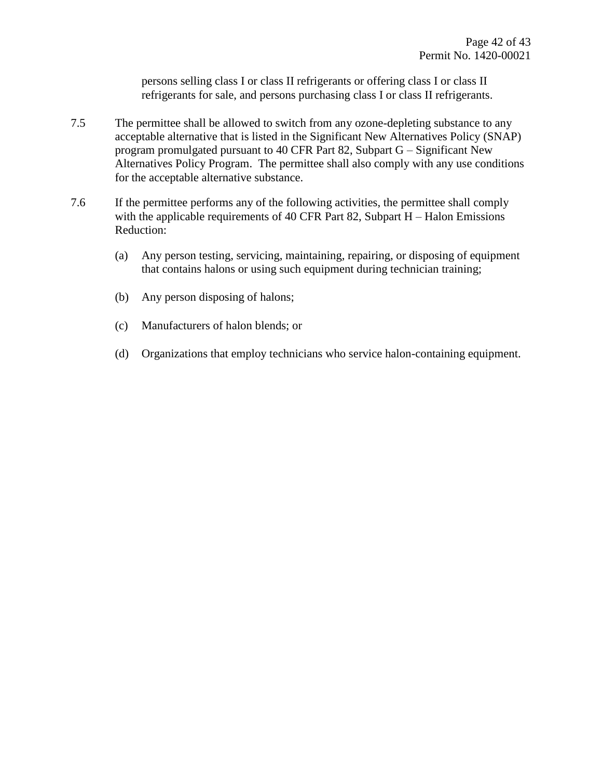persons selling class I or class II refrigerants or offering class I or class II refrigerants for sale, and persons purchasing class I or class II refrigerants.

- 7.5 The permittee shall be allowed to switch from any ozone-depleting substance to any acceptable alternative that is listed in the Significant New Alternatives Policy (SNAP) program promulgated pursuant to 40 CFR Part 82, Subpart G – Significant New Alternatives Policy Program. The permittee shall also comply with any use conditions for the acceptable alternative substance.
- 7.6 If the permittee performs any of the following activities, the permittee shall comply with the applicable requirements of 40 CFR Part 82, Subpart H – Halon Emissions Reduction:
	- (a) Any person testing, servicing, maintaining, repairing, or disposing of equipment that contains halons or using such equipment during technician training;
	- (b) Any person disposing of halons;
	- (c) Manufacturers of halon blends; or
	- (d) Organizations that employ technicians who service halon-containing equipment.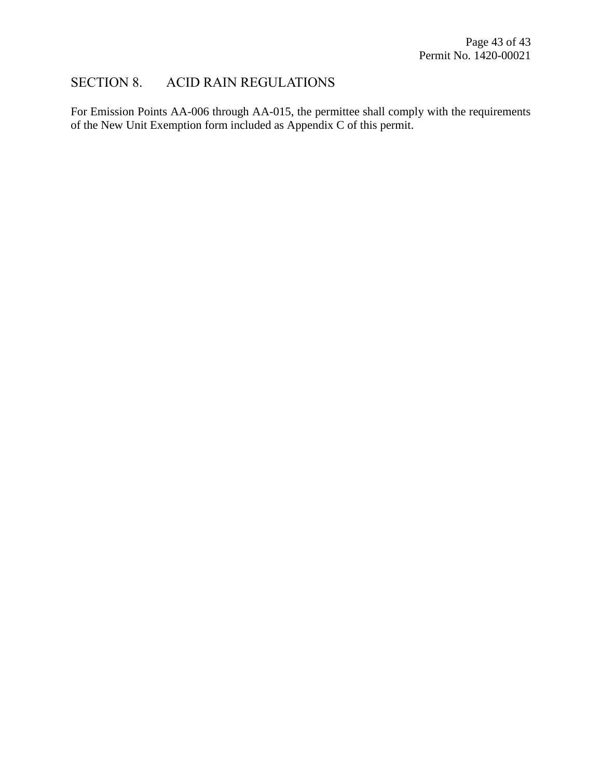### SECTION 8. ACID RAIN REGULATIONS

<span id="page-42-0"></span>For Emission Points AA-006 through AA-015, the permittee shall comply with the requirements of the New Unit Exemption form included as Appendix C of this permit.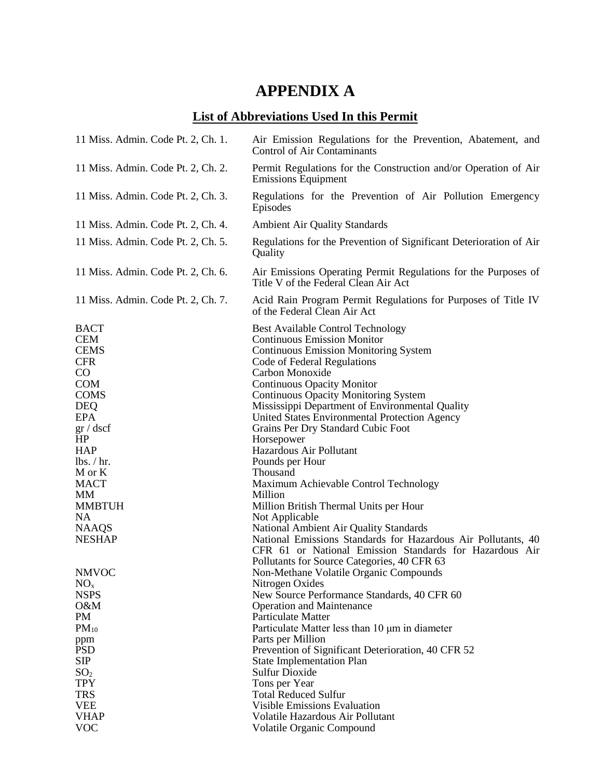# **APPENDIX A**

# **List of Abbreviations Used In this Permit**

| 11 Miss. Admin. Code Pt. 2, Ch. 1.                                                                                                                                                                                                                               | Air Emission Regulations for the Prevention, Abatement, and<br>Control of Air Contaminants                                                                                                                                                                                                                                                                                                                                                                                                                                                                                                                                                                                                                                                                                   |
|------------------------------------------------------------------------------------------------------------------------------------------------------------------------------------------------------------------------------------------------------------------|------------------------------------------------------------------------------------------------------------------------------------------------------------------------------------------------------------------------------------------------------------------------------------------------------------------------------------------------------------------------------------------------------------------------------------------------------------------------------------------------------------------------------------------------------------------------------------------------------------------------------------------------------------------------------------------------------------------------------------------------------------------------------|
| 11 Miss. Admin. Code Pt. 2, Ch. 2.                                                                                                                                                                                                                               | Permit Regulations for the Construction and/or Operation of Air<br><b>Emissions Equipment</b>                                                                                                                                                                                                                                                                                                                                                                                                                                                                                                                                                                                                                                                                                |
| 11 Miss. Admin. Code Pt. 2, Ch. 3.                                                                                                                                                                                                                               | Regulations for the Prevention of Air Pollution Emergency<br>Episodes                                                                                                                                                                                                                                                                                                                                                                                                                                                                                                                                                                                                                                                                                                        |
| 11 Miss. Admin. Code Pt. 2, Ch. 4.                                                                                                                                                                                                                               | <b>Ambient Air Quality Standards</b>                                                                                                                                                                                                                                                                                                                                                                                                                                                                                                                                                                                                                                                                                                                                         |
| 11 Miss. Admin. Code Pt. 2, Ch. 5.                                                                                                                                                                                                                               | Regulations for the Prevention of Significant Deterioration of Air<br>Quality                                                                                                                                                                                                                                                                                                                                                                                                                                                                                                                                                                                                                                                                                                |
| 11 Miss. Admin. Code Pt. 2, Ch. 6.                                                                                                                                                                                                                               | Air Emissions Operating Permit Regulations for the Purposes of<br>Title V of the Federal Clean Air Act                                                                                                                                                                                                                                                                                                                                                                                                                                                                                                                                                                                                                                                                       |
| 11 Miss. Admin. Code Pt. 2, Ch. 7.                                                                                                                                                                                                                               | Acid Rain Program Permit Regulations for Purposes of Title IV<br>of the Federal Clean Air Act                                                                                                                                                                                                                                                                                                                                                                                                                                                                                                                                                                                                                                                                                |
| <b>BACT</b><br><b>CEM</b><br><b>CEMS</b><br><b>CFR</b><br>$\rm CO$<br><b>COM</b><br><b>COMS</b><br><b>DEQ</b><br><b>EPA</b><br>gr/dscf<br>HP<br><b>HAP</b><br>lbs. / hr.<br>M or K<br><b>MACT</b><br>МM<br><b>MMBTUH</b><br>NA.<br><b>NAAQS</b><br><b>NESHAP</b> | <b>Best Available Control Technology</b><br><b>Continuous Emission Monitor</b><br><b>Continuous Emission Monitoring System</b><br>Code of Federal Regulations<br>Carbon Monoxide<br><b>Continuous Opacity Monitor</b><br><b>Continuous Opacity Monitoring System</b><br>Mississippi Department of Environmental Quality<br>United States Environmental Protection Agency<br>Grains Per Dry Standard Cubic Foot<br>Horsepower<br>Hazardous Air Pollutant<br>Pounds per Hour<br>Thousand<br>Maximum Achievable Control Technology<br>Million<br>Million British Thermal Units per Hour<br>Not Applicable<br>National Ambient Air Quality Standards<br>National Emissions Standards for Hazardous Air Pollutants, 40<br>CFR 61 or National Emission Standards for Hazardous Air |
| <b>NMVOC</b><br>NO <sub>x</sub><br><b>NSPS</b><br>O&M<br>PM                                                                                                                                                                                                      | Pollutants for Source Categories, 40 CFR 63<br>Non-Methane Volatile Organic Compounds<br>Nitrogen Oxides<br>New Source Performance Standards, 40 CFR 60<br><b>Operation and Maintenance</b><br>Particulate Matter                                                                                                                                                                                                                                                                                                                                                                                                                                                                                                                                                            |
| $PM_{10}$                                                                                                                                                                                                                                                        | Particulate Matter less than 10 µm in diameter                                                                                                                                                                                                                                                                                                                                                                                                                                                                                                                                                                                                                                                                                                                               |
| ppm<br><b>PSD</b>                                                                                                                                                                                                                                                | Parts per Million<br>Prevention of Significant Deterioration, 40 CFR 52                                                                                                                                                                                                                                                                                                                                                                                                                                                                                                                                                                                                                                                                                                      |
| <b>SIP</b>                                                                                                                                                                                                                                                       | <b>State Implementation Plan</b>                                                                                                                                                                                                                                                                                                                                                                                                                                                                                                                                                                                                                                                                                                                                             |
| SO <sub>2</sub>                                                                                                                                                                                                                                                  | <b>Sulfur Dioxide</b>                                                                                                                                                                                                                                                                                                                                                                                                                                                                                                                                                                                                                                                                                                                                                        |
| <b>TPY</b>                                                                                                                                                                                                                                                       | Tons per Year                                                                                                                                                                                                                                                                                                                                                                                                                                                                                                                                                                                                                                                                                                                                                                |
| <b>TRS</b>                                                                                                                                                                                                                                                       | <b>Total Reduced Sulfur</b>                                                                                                                                                                                                                                                                                                                                                                                                                                                                                                                                                                                                                                                                                                                                                  |
| <b>VEE</b>                                                                                                                                                                                                                                                       | <b>Visible Emissions Evaluation</b>                                                                                                                                                                                                                                                                                                                                                                                                                                                                                                                                                                                                                                                                                                                                          |
| <b>VHAP</b>                                                                                                                                                                                                                                                      | Volatile Hazardous Air Pollutant                                                                                                                                                                                                                                                                                                                                                                                                                                                                                                                                                                                                                                                                                                                                             |
| <b>VOC</b>                                                                                                                                                                                                                                                       | Volatile Organic Compound                                                                                                                                                                                                                                                                                                                                                                                                                                                                                                                                                                                                                                                                                                                                                    |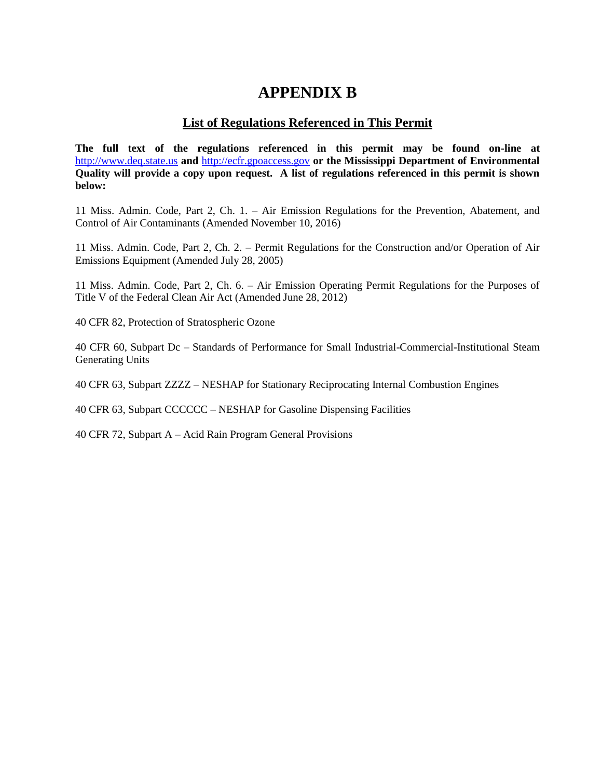# **APPENDIX B**

#### **List of Regulations Referenced in This Permit**

**The full text of the regulations referenced in this permit may be found on-line at**  [http://www.deq.state.us](http://www.deq.state.us/) **and** [http://ecfr.gpoaccess.gov](http://ecfr.gpoaccess.gov/) **or the Mississippi Department of Environmental Quality will provide a copy upon request. A list of regulations referenced in this permit is shown below:**

11 Miss. Admin. Code, Part 2, Ch. 1. – Air Emission Regulations for the Prevention, Abatement, and Control of Air Contaminants (Amended November 10, 2016)

11 Miss. Admin. Code, Part 2, Ch. 2. – Permit Regulations for the Construction and/or Operation of Air Emissions Equipment (Amended July 28, 2005)

11 Miss. Admin. Code, Part 2, Ch. 6. – Air Emission Operating Permit Regulations for the Purposes of Title V of the Federal Clean Air Act (Amended June 28, 2012)

40 CFR 82, Protection of Stratospheric Ozone

40 CFR 60, Subpart Dc – Standards of Performance for Small Industrial-Commercial-Institutional Steam Generating Units

40 CFR 63, Subpart ZZZZ – NESHAP for Stationary Reciprocating Internal Combustion Engines

40 CFR 63, Subpart CCCCCC – NESHAP for Gasoline Dispensing Facilities

40 CFR 72, Subpart A – Acid Rain Program General Provisions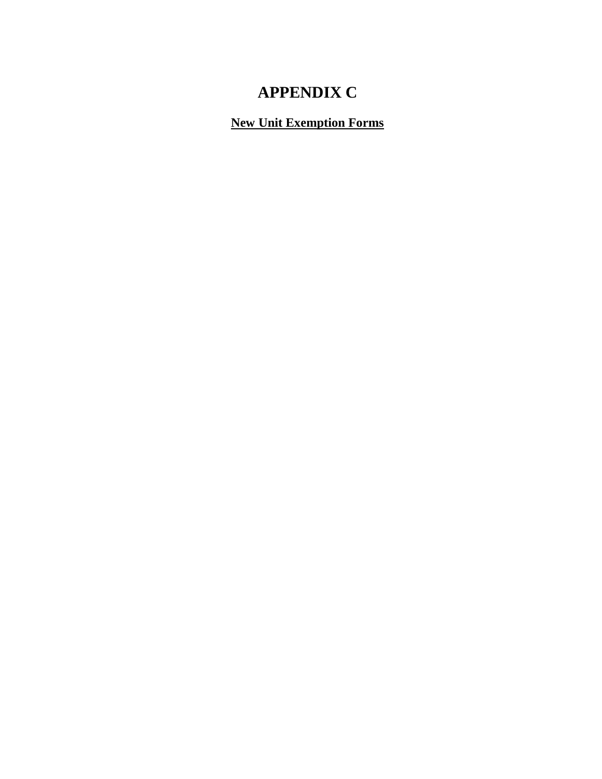# **APPENDIX C**

**New Unit Exemption Forms**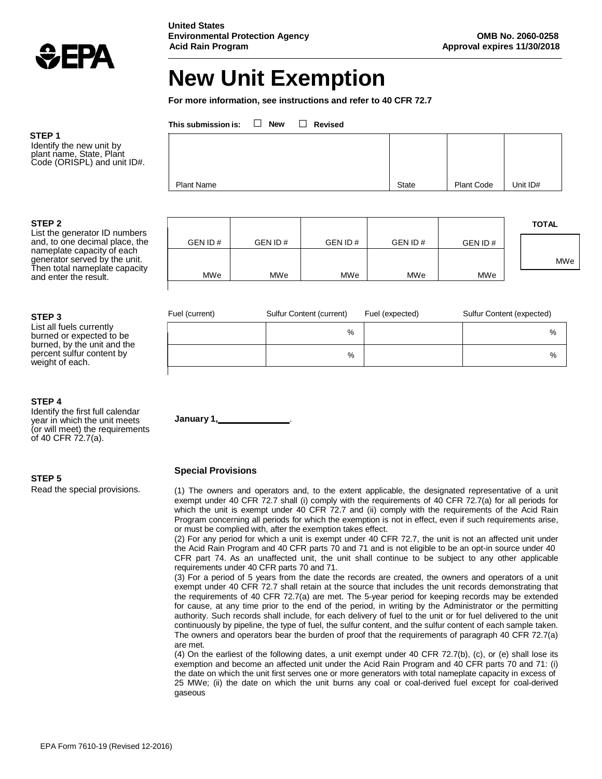

# **New Unit Exemption**

**For more information, see instructions and refer to 40 CFR 72.7**

**This submission is:** □ **New** □ **Revised**

**United States**

| <b>Plant Name</b> | <b>State</b> | <b>Plant Code</b> | Unit ID# |
|-------------------|--------------|-------------------|----------|

| <b>TOTAL</b> |         |         |         |         |         |
|--------------|---------|---------|---------|---------|---------|
|              | GEN ID# | GEN ID# | GEN ID# | GEN ID# | GEN ID# |
| MWe          |         |         |         |         |         |
|              | MWe     | MWe     | MWe     | MWe     | MWe     |
|              |         |         |         |         |         |

| Fuel (current) | Sulfur Content (current) | Fuel (expected) | Sulfur Content (expected) |
|----------------|--------------------------|-----------------|---------------------------|
|                | %                        |                 | %                         |
|                | %                        |                 | %                         |
|                |                          |                 |                           |

**STEP 4**

Identify the first full calendar year in which the unit meets (or will meet) the requirements of 40 CFR  $72.7(a)$ .

**STEP 5**

Read the special provisions.

#### **Special Provisions**

**January 1,** .

(1) The owners and operators and, to the extent applicable, the designated representative of a unit exempt under 40 CFR 72.7 shall (i) comply with the requirements of 40 CFR 72.7(a) for all periods for which the unit is exempt under 40 CFR 72.7 and (ii) comply with the requirements of the Acid Rain Program concerning all periods for which the exemption is not in effect, even if such requirements arise, or must be complied with, after the exemption takes effect.

(2) For any period for which a unit is exempt under 40 CFR 72.7, the unit is not an affected unit under the Acid Rain Program and 40 CFR parts 70 and 71 and is not eligible to be an opt-in source under 40 CFR part 74. As an unaffected unit, the unit shall continue to be subject to any other applicable requirements under 40 CFR parts 70 and 71.

(3) For a period of 5 years from the date the records are created, the owners and operators of a unit exempt under 40 CFR 72.7 shall retain at the source that includes the unit records demonstrating that the requirements of 40 CFR 72.7(a) are met. The 5-year period for keeping records may be extended for cause, at any time prior to the end of the period, in writing by the Administrator or the permitting authority. Such records shall include, for each delivery of fuel to the unit or for fuel delivered to the unit continuously by pipeline, the type of fuel, the sulfur content, and the sulfur content of each sample taken. The owners and operators bear the burden of proof that the requirements of paragraph 40 CFR 72.7(a) are met.

(4) On the earliest of the following dates, a unit exempt under 40 CFR 72.7(b), (c), or (e) shall lose its exemption and become an affected unit under the Acid Rain Program and 40 CFR parts 70 and 71: (i) the date on which the unit first serves one or more generators with total nameplate capacity in excess of 25 MWe; (ii) the date on which the unit burns any coal or coal-derived fuel except for coal-derived gaseous

#### **STEP 1**

Identify the new unit by plant name, State, Plant Code (ORISPL) and unit ID#.

#### **STEP 2**

List the generator ID numbers and, to one decimal place, the nameplate capacity of each generator served by the unit. Then total nameplate capacity and enter the result.

#### **STEP 3**

List all fuels currently burned or expected to be burned, by the unit and the percent sulfur content by weight of each.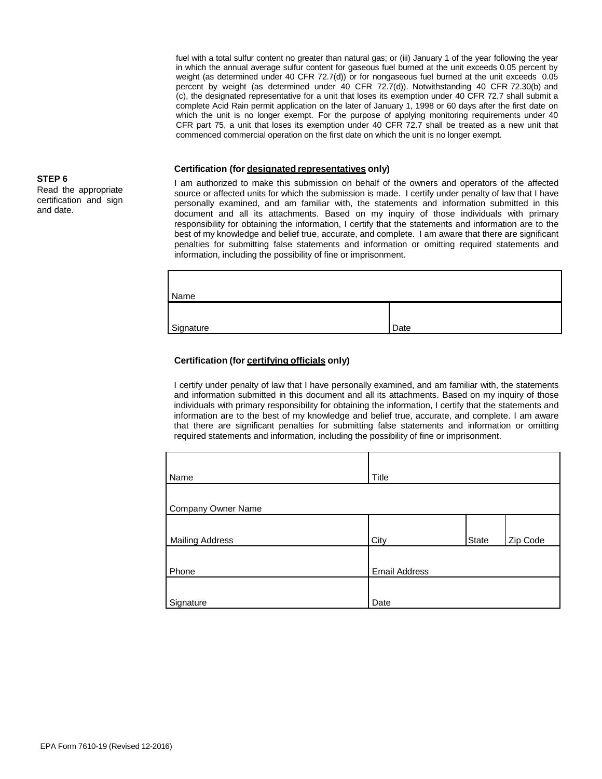fuel with a total sulfur content no greater than natural gas; or (iii) January 1 of the year following the year in which the annual average sulfur content for gaseous fuel burned at the unit exceeds 0.05 percent by weight (as determined under 40 CFR 72.7(d)) or for nongaseous fuel burned at the unit exceeds 0.05 percent by weight (as determined under 40 CFR 72.7(d)). Notwithstanding 40 CFR 72.30(b) and (c), the designated representative for a unit that loses its exemption under 40 CFR 72.7 shall submit a complete Acid Rain permit application on the later of January 1, 1998 or 60 days after the first date on which the unit is no longer exempt. For the purpose of applying monitoring requirements under 40 CFR part 75, a unit that loses its exemption under 40 CFR 72.7 shall be treated as a new unit that commenced commercial operation on the first date on which the unit is no longer exempt.

#### **Certification (for designated representatives only)**

I am authorized to make this submission on behalf of the owners and operators of the affected source or affected units for which the submission is made. I certify under penalty of law that I have personally examined, and am familiar with, the statements and information submitted in this document and all its attachments. Based on my inquiry of those individuals with primary responsibility for obtaining the information, I certify that the statements and information are to the best of my knowledge and belief true, accurate, and complete. I am aware that there are significant penalties for submitting false statements and information or omitting required statements and information, including the possibility of fine or imprisonment.

| Name      |      |
|-----------|------|
|           | Date |
| Signature |      |

#### **Certification (for certifying officials only)**

I certify under penalty of law that I have personally examined, and am familiar with, the statements and information submitted in this document and all its attachments. Based on my inquiry of those individuals with primary responsibility for obtaining the information, I certify that the statements and information are to the best of my knowledge and belief true, accurate, and complete. I am aware that there are significant penalties for submitting false statements and information or omitting required statements and information, including the possibility of fine or imprisonment.

| Name                   | Title                |       |          |
|------------------------|----------------------|-------|----------|
|                        |                      |       |          |
| Company Owner Name     |                      |       |          |
|                        |                      |       |          |
| <b>Mailing Address</b> | City                 | State | Zip Code |
|                        |                      |       |          |
| Phone                  | <b>Email Address</b> |       |          |
|                        |                      |       |          |
| Signature              | Date                 |       |          |

# **STEP 6**

Read the appropriate certification and sign and date.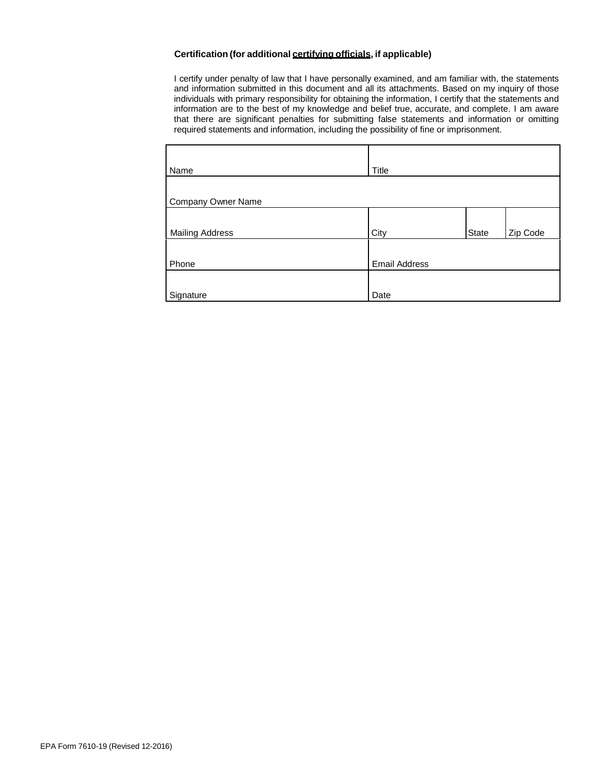#### **Certification (for additional certifying officials, if applicable)**

I certify under penalty of law that I have personally examined, and am familiar with, the statements and information submitted in this document and all its attachments. Based on my inquiry of those individuals with primary responsibility for obtaining the information, I certify that the statements and information are to the best of my knowledge and belief true, accurate, and complete. I am aware that there are significant penalties for submitting false statements and information or omitting required statements and information, including the possibility of fine or imprisonment.

| Name                      | Title                |       |          |
|---------------------------|----------------------|-------|----------|
| <b>Company Owner Name</b> |                      |       |          |
| <b>Mailing Address</b>    | City                 | State | Zip Code |
| Phone                     | <b>Email Address</b> |       |          |
| Signature                 | Date                 |       |          |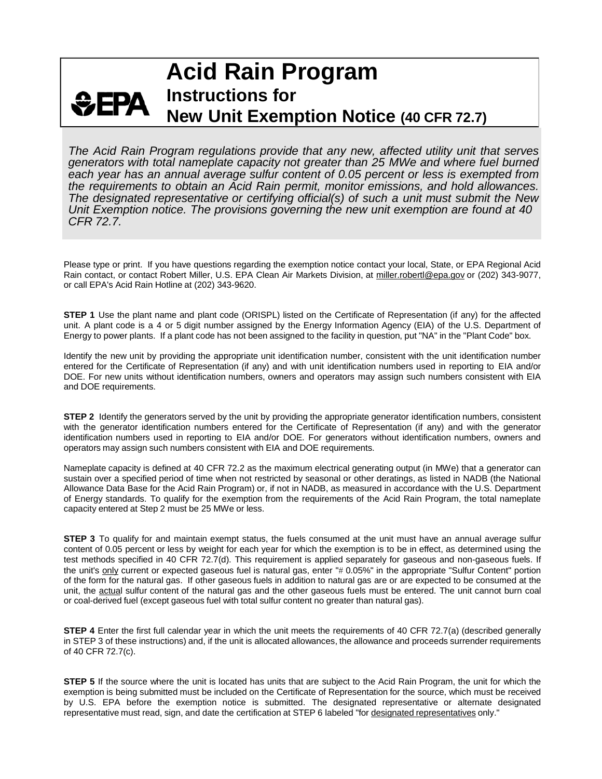# **Acid Rain Program Instructions for**  $EPA$ **New Unit Exemption Notice (40 CFR 72.7)**

*The Acid Rain Program regulations provide that any new, affected utility unit that serves generators with total nameplate capacity not greater than 25 MWe and where fuel burned each year has an annual average sulfur content of 0.05 percent or less is exempted from the requirements to obtain an Acid Rain permit, monitor emissions, and hold allowances. The designated representative or certifying official(s) of such a unit must submit the New Unit Exemption notice. The provisions governing the new unit exemption are found at 40 CFR 72.7.*

Please type or print. If you have questions regarding the exemption notice contact your local, State, or EPA Regional Acid Rain contact, or contact Robert Miller, U.S. EPA Clean Air Markets Division, at [miller.robertl@epa.gov](mailto:miller.robertl@epa.gov) or (202) 343-9077, or call EPA's Acid Rain Hotline at (202) 343-9620.

**STEP 1** Use the plant name and plant code (ORISPL) listed on the Certificate of Representation (if any) for the affected unit. A plant code is a 4 or 5 digit number assigned by the Energy Information Agency (EIA) of the U.S. Department of Energy to power plants. If a plant code has not been assigned to the facility in question, put "NA" in the "Plant Code" box.

Identify the new unit by providing the appropriate unit identification number, consistent with the unit identification number entered for the Certificate of Representation (if any) and with unit identification numbers used in reporting to EIA and/or DOE. For new units without identification numbers, owners and operators may assign such numbers consistent with EIA and DOE requirements.

**STEP 2** Identify the generators served by the unit by providing the appropriate generator identification numbers, consistent with the generator identification numbers entered for the Certificate of Representation (if any) and with the generator identification numbers used in reporting to EIA and/or DOE. For generators without identification numbers, owners and operators may assign such numbers consistent with EIA and DOE requirements.

Nameplate capacity is defined at 40 CFR 72.2 as the maximum electrical generating output (in MWe) that a generator can sustain over a specified period of time when not restricted by seasonal or other deratings, as listed in NADB (the National Allowance Data Base for the Acid Rain Program) or, if not in NADB, as measured in accordance with the U.S. Department of Energy standards. To qualify for the exemption from the requirements of the Acid Rain Program, the total nameplate capacity entered at Step 2 must be 25 MWe or less.

**STEP 3** To qualify for and maintain exempt status, the fuels consumed at the unit must have an annual average sulfur content of 0.05 percent or less by weight for each year for which the exemption is to be in effect, as determined using the test methods specified in 40 CFR 72.7(d). This requirement is applied separately for gaseous and non-gaseous fuels. If the unit's only current or expected gaseous fuel is natural gas, enter "# 0.05%" in the appropriate "Sulfur Content" portion of the form for the natural gas. If other gaseous fuels in addition to natural gas are or are expected to be consumed at the unit, the actual sulfur content of the natural gas and the other gaseous fuels must be entered. The unit cannot burn coal or coal-derived fuel (except gaseous fuel with total sulfur content no greater than natural gas).

**STEP 4** Enter the first full calendar year in which the unit meets the requirements of 40 CFR 72.7(a) (described generally in STEP 3 of these instructions) and, if the unit is allocated allowances, the allowance and proceeds surrender requirements of 40 CFR 72.7(c).

**STEP 5** If the source where the unit is located has units that are subject to the Acid Rain Program, the unit for which the exemption is being submitted must be included on the Certificate of Representation for the source, which must be received by U.S. EPA before the exemption notice is submitted. The designated representative or alternate designated representative must read, sign, and date the certification at STEP 6 labeled "for designated representatives only."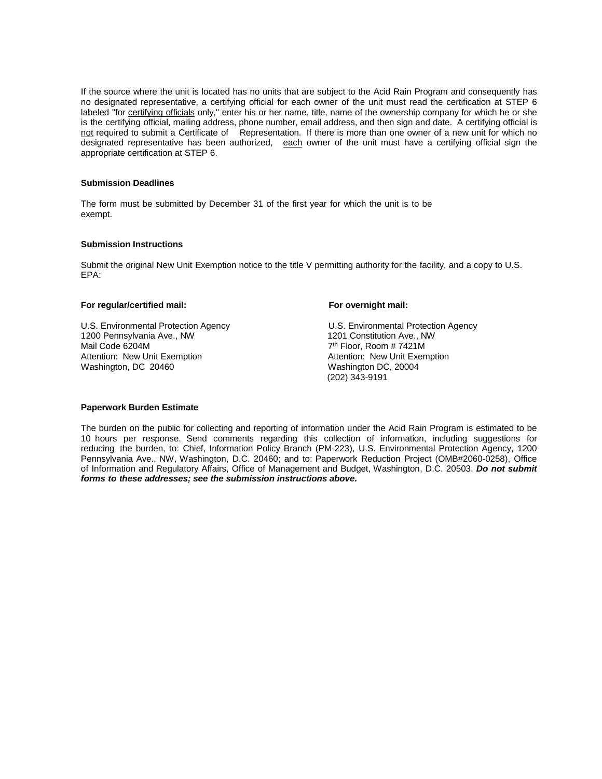If the source where the unit is located has no units that are subject to the Acid Rain Program and consequently has no designated representative, a certifying official for each owner of the unit must read the certification at STEP 6 labeled "for certifying officials only," enter his or her name, title, name of the ownership company for which he or she is the certifying official, mailing address, phone number, email address, and then sign and date. A certifying official is not required to submit a Certificate of Representation. If there is more than one owner of a new unit for which no designated representative has been authorized, each owner of the unit must have a certifying official sign the appropriate certification at STEP 6.

#### **Submission Deadlines**

The form must be submitted by December 31 of the first year for which the unit is to be exempt.

#### **Submission Instructions**

Submit the original New Unit Exemption notice to the title V permitting authority for the facility, and a copy to U.S. EPA:

#### **For regular/certified mail: For overnight mail:**

U.S. Environmental Protection Agency<br>1200 Pennsylvania Ave., NW<br>1201 Constitution Ave., NW 1200 Pennsylvania Ave., NW Mail Code 6204M Attention: New Unit Exemption<br>
Washington, DC 20460<br>
Washington DC, 20004

7<sup>th</sup> Floor, Room # 7421M Washington DC, 20004 (202) 343-9191

#### **Paperwork Burden Estimate**

The burden on the public for collecting and reporting of information under the Acid Rain Program is estimated to be 10 hours per response. Send comments regarding this collection of information, including suggestions for reducing the burden, to: Chief, Information Policy Branch (PM-223), U.S. Environmental Protection Agency, 1200 Pennsylvania Ave., NW, Washington, D.C. 20460; and to: Paperwork Reduction Project (OMB#2060-0258), Office of Information and Regulatory Affairs, Office of Management and Budget, Washington, D.C. 20503. *Do not submit forms to these addresses; see the submission instructions above.*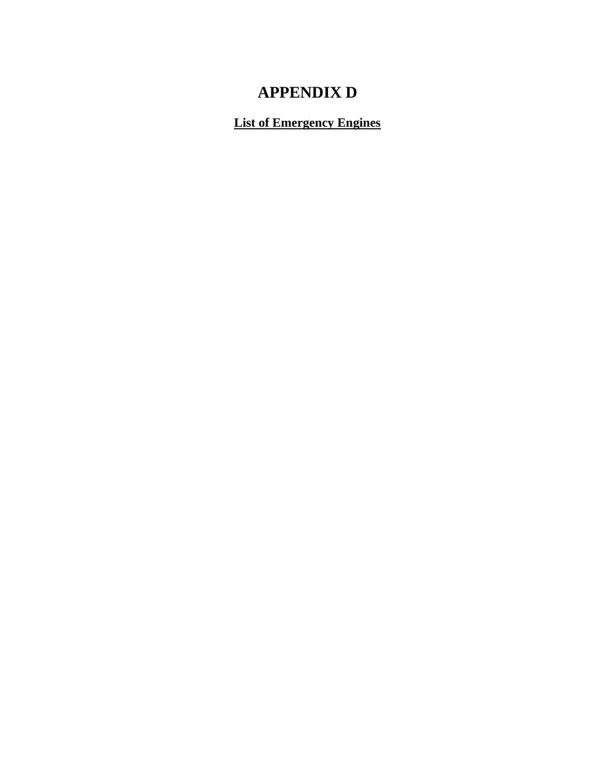# **APPENDIX D**

**List of Emergency Engines**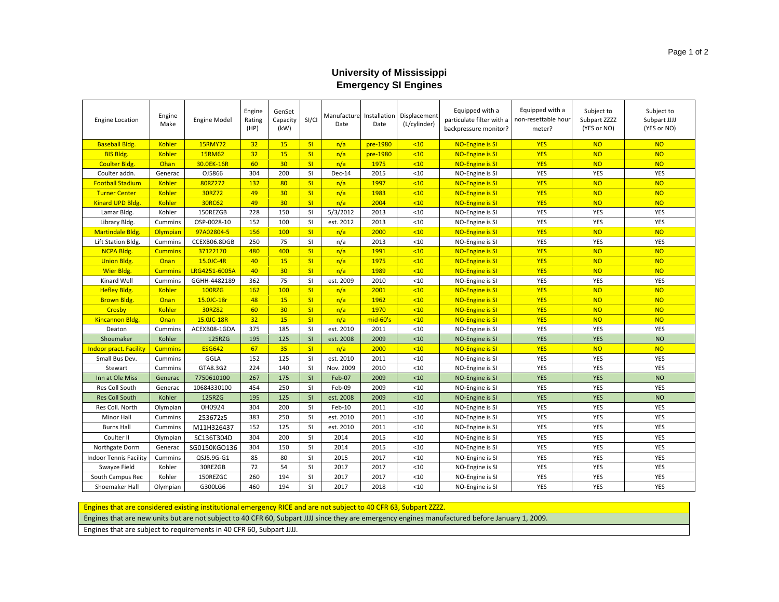#### **University of Mississippi Emergency SI Engines**

| <b>Engine Location</b>        | Engine<br>Make | <b>Engine Model</b> | Engine<br>Rating<br>(HP) | GenSet<br>Capacity<br>(kW) | SI/CI     | Date      | Date     | Manufacture Installation Displacement<br>(L/cylinder) | Equipped with a<br>particulate filter with a<br>backpressure monitor? | Equipped with a<br>non-resettable hour<br>meter? | Subject to<br>Subpart ZZZZ<br>(YES or NO) | Subject to<br>Subpart JJJJ<br>(YES or NO) |
|-------------------------------|----------------|---------------------|--------------------------|----------------------------|-----------|-----------|----------|-------------------------------------------------------|-----------------------------------------------------------------------|--------------------------------------------------|-------------------------------------------|-------------------------------------------|
| <b>Baseball Bldg.</b>         | <b>Kohler</b>  | <b>15RMY72</b>      | 32                       | 15                         | SI        | n/a       | pre-1980 | <10                                                   | <b>NO-Engine is SI</b>                                                | <b>YES</b>                                       | <b>NO</b>                                 | <b>NO</b>                                 |
| <b>BIS Bldg.</b>              | <b>Kohler</b>  | <b>15RM62</b>       | 32                       | 15                         | SI        | n/a       | pre-1980 | $10$                                                  | <b>NO-Engine is SI</b>                                                | <b>YES</b>                                       | <b>NO</b>                                 | <b>NO</b>                                 |
| <b>Coulter Bldg.</b>          | Ohan           | 30.0EK-16R          | 60                       | 30                         | SI        | n/a       | 1975     | <10                                                   | <b>NO-Engine is SI</b>                                                | <b>YES</b>                                       | <b>NO</b>                                 | <b>NO</b>                                 |
| Coulter addn.                 | Generac        | OJ5866              | 304                      | 200                        | <b>SI</b> | Dec-14    | 2015     | < 10                                                  | NO-Engine is SI                                                       | <b>YES</b>                                       | <b>YES</b>                                | YES                                       |
| <b>Football Stadium</b>       | <b>Kohler</b>  | 80RZ272             | 132                      | 80                         | SI        | n/a       | 1997     | <10                                                   | <b>NO-Engine is SI</b>                                                | <b>YES</b>                                       | <b>NO</b>                                 | <b>NO</b>                                 |
| <b>Turner Center</b>          | <b>Kohler</b>  | 30RZ72              | 49                       | 30                         | SI        | n/a       | 1983     | <10                                                   | <b>NO-Engine is SI</b>                                                | <b>YES</b>                                       | <b>NO</b>                                 | <b>NO</b>                                 |
| <b>Kinard UPD Bldg.</b>       | <b>Kohler</b>  | 30RC62              | 49                       | 30                         | SI        | n/a       | 2004     | <10                                                   | <b>NO-Engine is SI</b>                                                | <b>YES</b>                                       | <b>NO</b>                                 | <b>NO</b>                                 |
| Lamar Bldg.                   | Kohler         | 150REZGB            | 228                      | 150                        | SI        | 5/3/2012  | 2013     | < 10                                                  | NO-Engine is SI                                                       | YES                                              | YES                                       | YES                                       |
| Library Bldg.                 | Cummins        | OSP-0028-10         | 152                      | 100                        | <b>SI</b> | est. 2012 | 2013     | < 10                                                  | NO-Engine is SI                                                       | YES                                              | YES                                       | <b>YES</b>                                |
| <b>Martindale Bldg.</b>       | Olympian       | 97A02804-5          | 156                      | 100                        | SI        | n/a       | 2000     | $10$                                                  | <b>NO-Engine is SI</b>                                                | <b>YES</b>                                       | <b>NO</b>                                 | <b>NO</b>                                 |
| Lift Station Bldg.            | Cummins        | CCEXB06.8DGB        | 250                      | 75                         | <b>SI</b> | n/a       | 2013     | < 10                                                  | NO-Engine is SI                                                       | <b>YES</b>                                       | YES                                       | <b>YES</b>                                |
| NCPA Bldg.                    | <b>Cummins</b> | 37122170            | 480                      | 400                        | SI        | n/a       | 1991     | <10                                                   | NO-Engine is SI                                                       | <b>YES</b>                                       | <b>NO</b>                                 | <b>NO</b>                                 |
| <b>Union Bldg.</b>            | Onan           | 15.0JC-4R           | 40                       | 15                         | SI        | n/a       | 1975     | $10$                                                  | NO-Engine is SI                                                       | <b>YES</b>                                       | <b>NO</b>                                 | <b>NO</b>                                 |
| <b>Wier Bldg.</b>             | <b>Cummins</b> | LRG4251-6005A       | 40                       | 30                         | SI        | n/a       | 1989     | <10                                                   | <b>NO-Engine is SI</b>                                                | <b>YES</b>                                       | <b>NO</b>                                 | <b>NO</b>                                 |
| Kinard Well                   | Cummins        | GGHH-4482189        | 362                      | 75                         | SI.       | est. 2009 | 2010     | < 10                                                  | NO-Engine is SI                                                       | YES                                              | YES                                       | YES                                       |
| <b>Hefley Bldg.</b>           | <b>Kohler</b>  | <b>100RZG</b>       | 162                      | 100                        | SI        | n/a       | 2001     | <10                                                   | NO-Engine is SI                                                       | <b>YES</b>                                       | <b>NO</b>                                 | <b>NO</b>                                 |
| <b>Brown Bldg.</b>            | <b>Onan</b>    | 15.0JC-18r          | 48                       | 15                         | SI        | n/a       | 1962     | <10                                                   | <b>NO-Engine is SI</b>                                                | <b>YES</b>                                       | <b>NO</b>                                 | <b>NO</b>                                 |
| Crosby                        | <b>Kohler</b>  | 30RZ82              | 60                       | 30                         | SI        | n/a       | 1970     | <10                                                   | <b>NO-Engine is SI</b>                                                | <b>YES</b>                                       | <b>NO</b>                                 | <b>NO</b>                                 |
| <b>Kincannon Bldg.</b>        | Onan           | 15.0JC-18R          | 32                       | 15                         | SI        | n/a       | mid-60's | <10                                                   | <b>NO-Engine is SI</b>                                                | <b>YES</b>                                       | <b>NO</b>                                 | <b>NO</b>                                 |
| Deaton                        | Cummins        | ACEXB08-1GDA        | 375                      | 185                        | SI.       | est. 2010 | 2011     | < 10                                                  | NO-Engine is SI                                                       | YES                                              | <b>YES</b>                                | <b>YES</b>                                |
| Shoemaker                     | Kohler         | 125RZG              | 195                      | 125                        | SI        | est. 2008 | 2009     | < 10                                                  | NO-Engine is SI                                                       | <b>YES</b>                                       | <b>YES</b>                                | <b>NO</b>                                 |
| <b>Indoor pract. Facility</b> | <b>Cummins</b> | <b>ESG642</b>       | 67                       | 35                         | SI        | n/a       | 2000     | $10$                                                  | <b>NO-Engine is SI</b>                                                | <b>YES</b>                                       | <b>NO</b>                                 | <b>NO</b>                                 |
| Small Bus Dev.                | Cummins        | GGLA                | 152                      | 125                        | SI.       | est. 2010 | 2011     | < 10                                                  | NO-Engine is SI                                                       | YES                                              | YES                                       | YES                                       |
| Stewart                       | Cummins        | GTA8.3G2            | 224                      | 140                        | <b>SI</b> | Nov. 2009 | 2010     | <10                                                   | NO-Engine is SI                                                       | <b>YES</b>                                       | <b>YES</b>                                | <b>YES</b>                                |
| Inn at Ole Miss               | Generac        | 7750610100          | 267                      | 175                        | SI        | Feb-07    | 2009     | < 10                                                  | NO-Engine is SI                                                       | <b>YES</b>                                       | <b>YES</b>                                | <b>NO</b>                                 |
| Res Coll South                | Generac        | 10684330100         | 454                      | 250                        | <b>SI</b> | Feb-09    | 2009     | <10                                                   | NO-Engine is SI                                                       | <b>YES</b>                                       | <b>YES</b>                                | <b>YES</b>                                |
| <b>Res Coll South</b>         | Kohler         | 125RZG              | 195                      | 125                        | SI        | est. 2008 | 2009     | < 10                                                  | NO-Engine is SI                                                       | <b>YES</b>                                       | <b>YES</b>                                | <b>NO</b>                                 |
| Res Coll. North               | Olympian       | 0H0924              | 304                      | 200                        | SI        | Feb-10    | 2011     | < 10                                                  | NO-Engine is SI                                                       | YES                                              | YES                                       | YES                                       |
| <b>Minor Hall</b>             | Cummins        | 253672z5            | 383                      | 250                        | <b>SI</b> | est. 2010 | 2011     | < 10                                                  | NO-Engine is SI                                                       | <b>YES</b>                                       | <b>YES</b>                                | <b>YES</b>                                |
| <b>Burns Hall</b>             | Cummins        | M11H326437          | 152                      | 125                        | SI        | est. 2010 | 2011     | < 10                                                  | NO-Engine is SI                                                       | YES                                              | YES                                       | YES                                       |
| Coulter II                    | Olympian       | SC136T304D          | 304                      | 200                        | <b>SI</b> | 2014      | 2015     | < 10                                                  | NO-Engine is SI                                                       | YES                                              | YES                                       | YES                                       |
| Northgate Dorm                | Generac        | SG0150KGO136        | 304                      | 150                        | SI.       | 2014      | 2015     | < 10                                                  | NO-Engine is SI                                                       | YES                                              | YES                                       | YES                                       |
| Indoor Tennis Facility        | Cummins        | QSJ5.9G-G1          | 85                       | 80                         | SI.       | 2015      | 2017     | < 10                                                  | NO-Engine is SI                                                       | YES                                              | YES                                       | YES                                       |
| Swayze Field                  | Kohler         | 30REZGB             | 72                       | 54                         | SI        | 2017      | 2017     | < 10                                                  | NO-Engine is SI                                                       | YES                                              | YES                                       | YES                                       |
| South Campus Rec              | Kohler         | 150REZGC            | 260                      | 194                        | <b>SI</b> | 2017      | 2017     | < 10                                                  | NO-Engine is SI                                                       | <b>YES</b>                                       | <b>YES</b>                                | <b>YES</b>                                |
| Shoemaker Hall                | Olympian       | G300LG6             | 460                      | 194                        | SI        | 2017      | 2018     | < 10                                                  | NO-Engine is SI                                                       | YES                                              | YES                                       | YES                                       |

Engines that are considered existing institutional emergency RICE and are not subject to 40 CFR 63, Subpart ZZZZ.

Engines that are new units but are not subject to 40 CFR 60, Subpart JJJJ since they are emergency engines manufactured before January 1, 2009.

Engines that are subject to requirements in 40 CFR 60, Subpart JJJJ.